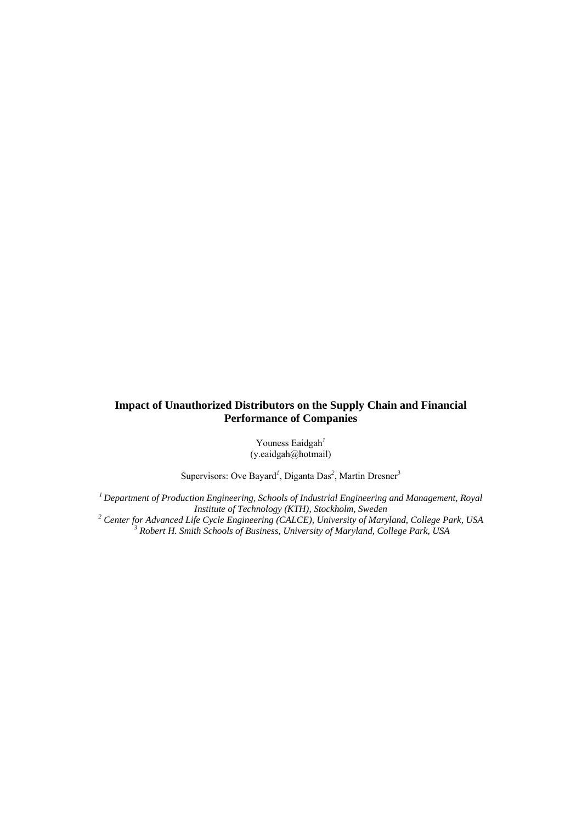# **Impact of Unauthorized Distributors on the Supply Chain and Financial Performance of Companies**

Youness Eaidgah*<sup>1</sup>* (y.eaidgah@hotmail)

Supervisors: Ove Bayard<sup>1</sup>, Diganta Das<sup>2</sup>, Martin Dresner<sup>3</sup>

*1 Department of Production Engineering, Schools of Industrial Engineering and Management, Royal Institute of Technology (KTH), Stockholm, Sweden*<br><sup>2</sup> Center for Advanced Life Cycle Engineering (CALCE), University of Mary *Center for Advanced Life Cycle Engineering (CALCE), University of Maryland, College Park, USA* <sup>3</sup> *Robert H. Smith Schools of Business, University of Maryland, College Park, USA*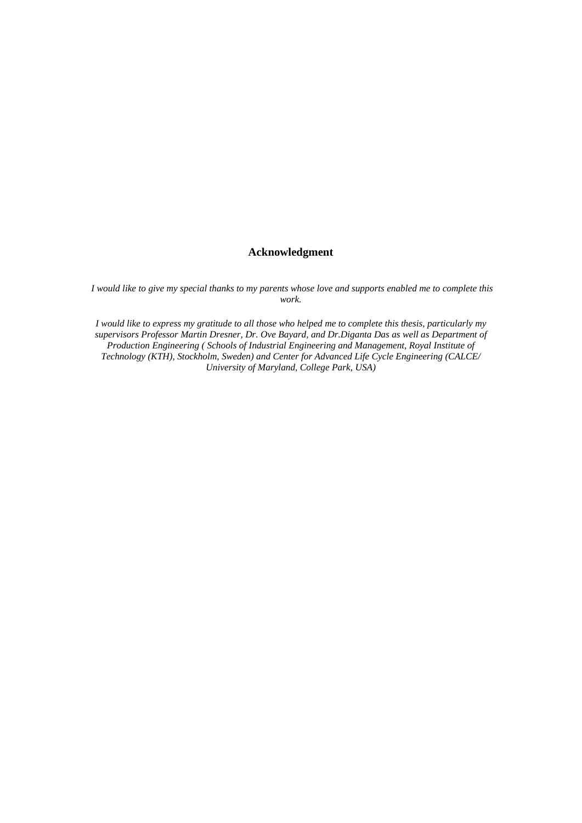# **Acknowledgment**

 *I would like to give my special thanks to my parents whose love and supports enabled me to complete this work.* 

*I would like to express my gratitude to all those who helped me to complete this thesis, particularly my supervisors Professor Martin Dresner, Dr. Ove Bayard, and Dr.Diganta Das as well as Department of Production Engineering ( Schools of Industrial Engineering and Management, Royal Institute of Technology (KTH), Stockholm, Sweden) and Center for Advanced Life Cycle Engineering (CALCE/ University of Maryland, College Park, USA)*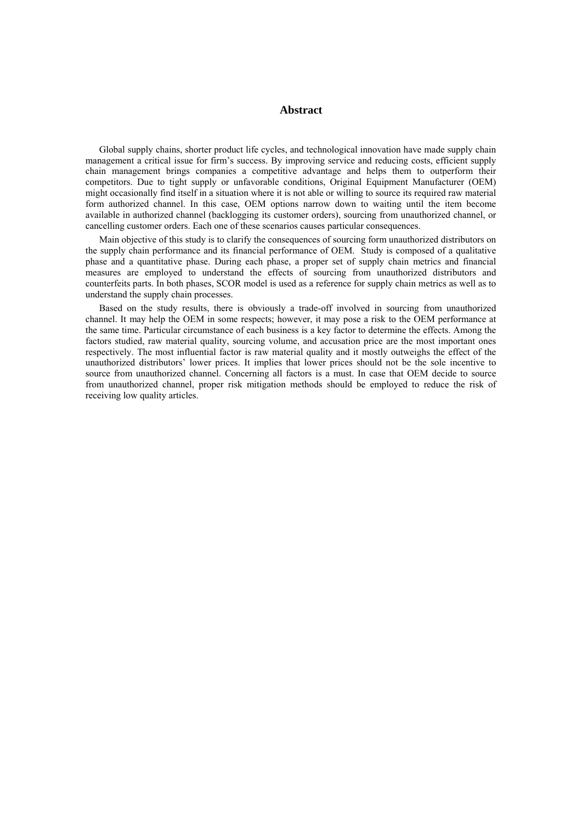# **Abstract**

Global supply chains, shorter product life cycles, and technological innovation have made supply chain management a critical issue for firm's success. By improving service and reducing costs, efficient supply chain management brings companies a competitive advantage and helps them to outperform their competitors. Due to tight supply or unfavorable conditions, Original Equipment Manufacturer (OEM) might occasionally find itself in a situation where it is not able or willing to source its required raw material form authorized channel. In this case, OEM options narrow down to waiting until the item become available in authorized channel (backlogging its customer orders), sourcing from unauthorized channel, or cancelling customer orders. Each one of these scenarios causes particular consequences.

Main objective of this study is to clarify the consequences of sourcing form unauthorized distributors on the supply chain performance and its financial performance of OEM. Study is composed of a qualitative phase and a quantitative phase. During each phase, a proper set of supply chain metrics and financial measures are employed to understand the effects of sourcing from unauthorized distributors and counterfeits parts. In both phases, SCOR model is used as a reference for supply chain metrics as well as to understand the supply chain processes.

Based on the study results, there is obviously a trade-off involved in sourcing from unauthorized channel. It may help the OEM in some respects; however, it may pose a risk to the OEM performance at the same time. Particular circumstance of each business is a key factor to determine the effects. Among the factors studied, raw material quality, sourcing volume, and accusation price are the most important ones respectively. The most influential factor is raw material quality and it mostly outweighs the effect of the unauthorized distributors' lower prices. It implies that lower prices should not be the sole incentive to source from unauthorized channel. Concerning all factors is a must. In case that OEM decide to source from unauthorized channel, proper risk mitigation methods should be employed to reduce the risk of receiving low quality articles.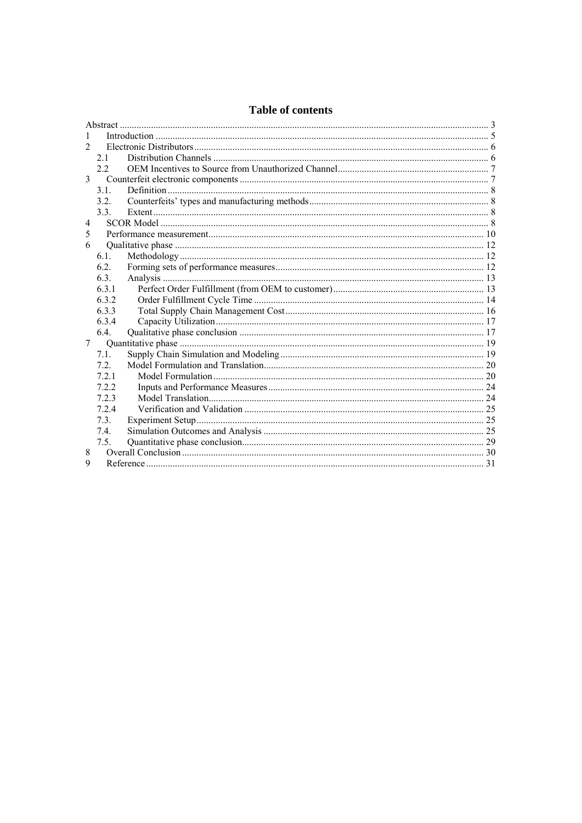| 1              |       |  |  |  |  |
|----------------|-------|--|--|--|--|
| $\mathfrak{D}$ |       |  |  |  |  |
|                | 21    |  |  |  |  |
|                | 22    |  |  |  |  |
| 3              |       |  |  |  |  |
|                | 3.1.  |  |  |  |  |
|                | 3.2.  |  |  |  |  |
|                | 3.3.  |  |  |  |  |
| $\overline{4}$ |       |  |  |  |  |
| 5              |       |  |  |  |  |
| 6              |       |  |  |  |  |
|                | 6.1   |  |  |  |  |
|                | 6.2.  |  |  |  |  |
|                | 6.3.  |  |  |  |  |
|                | 6.3.1 |  |  |  |  |
|                | 6.3.2 |  |  |  |  |
|                | 6.3.3 |  |  |  |  |
|                | 6.3.4 |  |  |  |  |
|                | 6.4.  |  |  |  |  |
| 7              |       |  |  |  |  |
|                | 7.1.  |  |  |  |  |
|                | 72    |  |  |  |  |
|                | 721   |  |  |  |  |
|                | 722   |  |  |  |  |
|                | 7.2.3 |  |  |  |  |
|                | 7.2.4 |  |  |  |  |
|                | 7.3   |  |  |  |  |
|                | 7.4.  |  |  |  |  |
|                | 7.5.  |  |  |  |  |
| 8              |       |  |  |  |  |
| 9              |       |  |  |  |  |

# Table of contents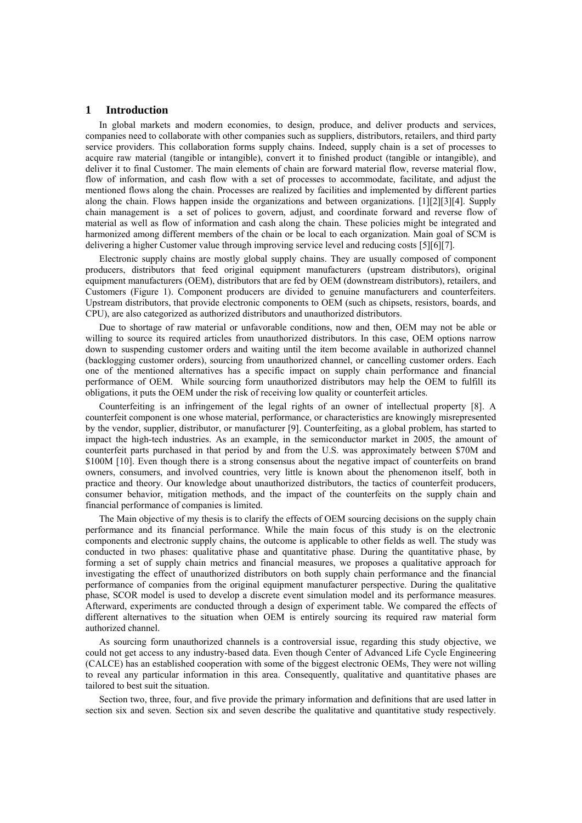# **1 Introduction**

In global markets and modern economies, to design, produce, and deliver products and services, companies need to collaborate with other companies such as suppliers, distributors, retailers, and third party service providers. This collaboration forms supply chains. Indeed, supply chain is a set of processes to acquire raw material (tangible or intangible), convert it to finished product (tangible or intangible), and deliver it to final Customer. The main elements of chain are forward material flow, reverse material flow, flow of information, and cash flow with a set of processes to accommodate, facilitate, and adjust the mentioned flows along the chain. Processes are realized by facilities and implemented by different parties along the chain. Flows happen inside the organizations and between organizations. [1] [2] [3] [4]. Supply chain management is a set of polices to govern, adjust, and coordinate forward and reverse flow of material as well as flow of information and cash along the chain. These policies might be integrated and harmonized among different members of the chain or be local to each organization. Main goal of SCM is delivering a higher Customer value through improving service level and reducing costs [5] [6] [7].

Electronic supply chains are mostly global supply chains. They are usually composed of component producers, distributors that feed original equipment manufacturers (upstream distributors), original equipment manufacturers (OEM), distributors that are fed by OEM (downstream distributors), retailers, and Customers (Figure 1). Component producers are divided to genuine manufacturers and counterfeiters. Upstream distributors, that provide electronic components to OEM (such as chipsets, resistors, boards, and CPU), are also categorized as authorized distributors and unauthorized distributors.

Due to shortage of raw material or unfavorable conditions, now and then, OEM may not be able or willing to source its required articles from unauthorized distributors. In this case, OEM options narrow down to suspending customer orders and waiting until the item become available in authorized channel (backlogging customer orders), sourcing from unauthorized channel, or cancelling customer orders. Each one of the mentioned alternatives has a specific impact on supply chain performance and financial performance of OEM. While sourcing form unauthorized distributors may help the OEM to fulfill its obligations, it puts the OEM under the risk of receiving low quality or counterfeit articles.

Counterfeiting is an infringement of the legal rights of an owner of intellectual property [8]. A counterfeit component is one whose material, performance, or characteristics are knowingly misrepresented by the vendor, supplier, distributor, or manufacturer [9]. Counterfeiting, as a global problem, has started to impact the high-tech industries. As an example, in the semiconductor market in 2005, the amount of counterfeit parts purchased in that period by and from the U.S. was approximately between \$70M and \$100M [10]. Even though there is a strong consensus about the negative impact of counterfeits on brand owners, consumers, and involved countries, very little is known about the phenomenon itself, both in practice and theory. Our knowledge about unauthorized distributors, the tactics of counterfeit producers, consumer behavior, mitigation methods, and the impact of the counterfeits on the supply chain and financial performance of companies is limited.

The Main objective of my thesis is to clarify the effects of OEM sourcing decisions on the supply chain performance and its financial performance. While the main focus of this study is on the electronic components and electronic supply chains, the outcome is applicable to other fields as well. The study was conducted in two phases: qualitative phase and quantitative phase. During the quantitative phase, by forming a set of supply chain metrics and financial measures, we proposes a qualitative approach for investigating the effect of unauthorized distributors on both supply chain performance and the financial performance of companies from the original equipment manufacturer perspective. During the qualitative phase, SCOR model is used to develop a discrete event simulation model and its performance measures. Afterward, experiments are conducted through a design of experiment table. We compared the effects of different alternatives to the situation when OEM is entirely sourcing its required raw material form authorized channel.

As sourcing form unauthorized channels is a controversial issue, regarding this study objective, we could not get access to any industry-based data. Even though Center of Advanced Life Cycle Engineering (CALCE) has an established cooperation with some of the biggest electronic OEMs, They were not willing to reveal any particular information in this area. Consequently, qualitative and quantitative phases are tailored to best suit the situation.

Section two, three, four, and five provide the primary information and definitions that are used latter in section six and seven. Section six and seven describe the qualitative and quantitative study respectively.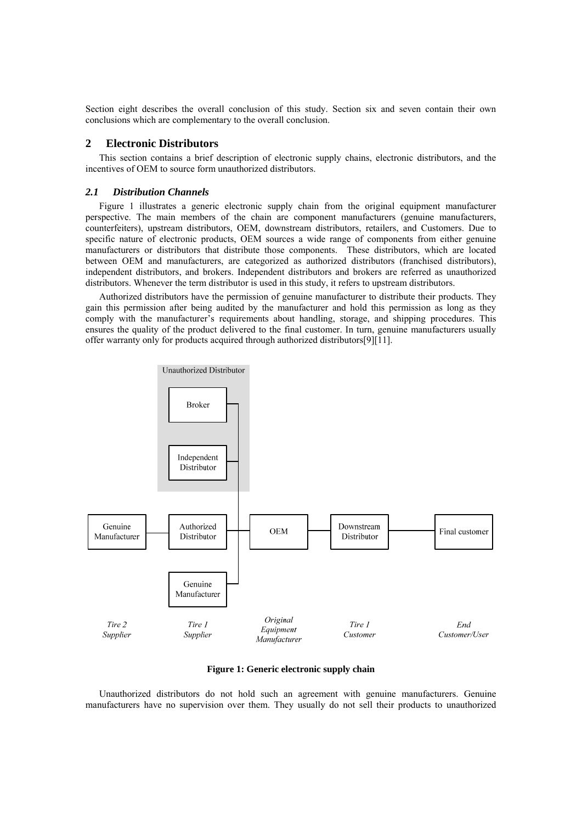Section eight describes the overall conclusion of this study. Section six and seven contain their own conclusions which are complementary to the overall conclusion.

# **2 Electronic Distributors**

This section contains a brief description of electronic supply chains, electronic distributors, and the incentives of OEM to source form unauthorized distributors.

# *2.1 Distribution Channels*

Figure 1 illustrates a generic electronic supply chain from the original equipment manufacturer perspective. The main members of the chain are component manufacturers (genuine manufacturers, counterfeiters), upstream distributors, OEM, downstream distributors, retailers, and Customers. Due to specific nature of electronic products, OEM sources a wide range of components from either genuine manufacturers or distributors that distribute those components. These distributors, which are located between OEM and manufacturers, are categorized as authorized distributors (franchised distributors), independent distributors, and brokers. Independent distributors and brokers are referred as unauthorized distributors. Whenever the term distributor is used in this study, it refers to upstream distributors.

Authorized distributors have the permission of genuine manufacturer to distribute their products. They gain this permission after being audited by the manufacturer and hold this permission as long as they comply with the manufacturer's requirements about handling, storage, and shipping procedures. This ensures the quality of the product delivered to the final customer. In turn, genuine manufacturers usually offer warranty only for products acquired through authorized distributors [9]  $\overline{11}$ ].



# **Figure 1: Generic electronic supply chain**

Unauthorized distributors do not hold such an agreement with genuine manufacturers. Genuine manufacturers have no supervision over them. They usually do not sell their products to unauthorized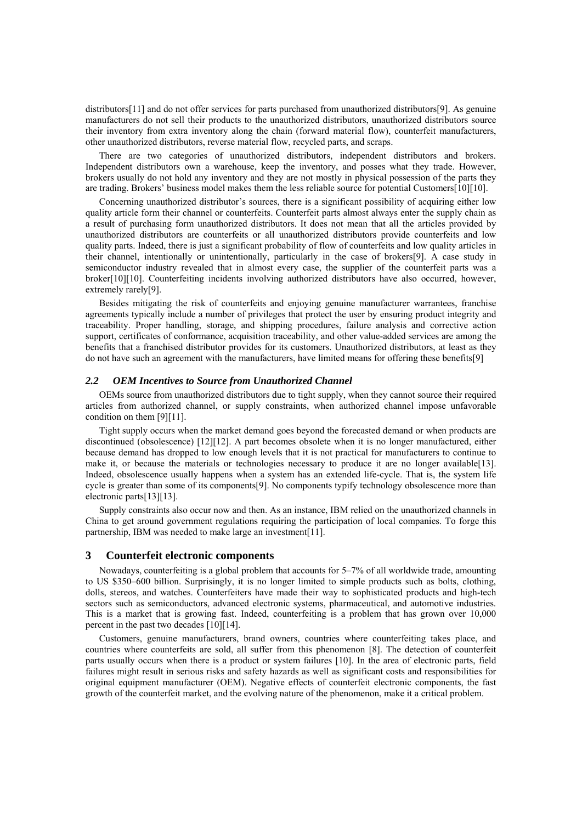distributors [11] and do not offer services for parts purchased from unauthorized distributors [9]. As genuine manufacturers do not sell their products to the unauthorized distributors, unauthorized distributors source their inventory from extra inventory along the chain (forward material flow), counterfeit manufacturers, other unauthorized distributors, reverse material flow, recycled parts, and scraps.

There are two categories of unauthorized distributors, independent distributors and brokers. Independent distributors own a warehouse, keep the inventory, and posses what they trade. However, brokers usually do not hold any inventory and they are not mostly in physical possession of the parts they are trading. Brokers' business model makes them the less reliable source for potential Customers [10] [10].

Concerning unauthorized distributor's sources, there is a significant possibility of acquiring either low quality article form their channel or counterfeits. Counterfeit parts almost always enter the supply chain as a result of purchasing form unauthorized distributors. It does not mean that all the articles provided by unauthorized distributors are counterfeits or all unauthorized distributors provide counterfeits and low quality parts. Indeed, there is just a significant probability of flow of counterfeits and low quality articles in their channel, intentionally or unintentionally, particularly in the case of brokers [9]. A case study in semiconductor industry revealed that in almost every case, the supplier of the counterfeit parts was a broker<sup>[10]</sup>[10]. Counterfeiting incidents involving authorized distributors have also occurred, however, extremely rarely[9].

Besides mitigating the risk of counterfeits and enjoying genuine manufacturer warrantees, franchise agreements typically include a number of privileges that protect the user by ensuring product integrity and traceability. Proper handling, storage, and shipping procedures, failure analysis and corrective action support, certificates of conformance, acquisition traceability, and other value-added services are among the benefits that a franchised distributor provides for its customers. Unauthorized distributors, at least as they do not have such an agreement with the manufacturers, have limited means for offering these benefits [9]

# *2.2 OEM Incentives to Source from Unauthorized Channel*

OEMs source from unauthorized distributors due to tight supply, when they cannot source their required articles from authorized channel, or supply constraints, when authorized channel impose unfavorable condition on them [9][11].

Tight supply occurs when the market demand goes beyond the forecasted demand or when products are discontinued (obsolescence) [12][12]. A part becomes obsolete when it is no longer manufactured, either because demand has dropped to low enough levels that it is not practical for manufacturers to continue to make it, or because the materials or technologies necessary to produce it are no longer available [13]. Indeed, obsolescence usually happens when a system has an extended life-cycle. That is, the system life cycle is greater than some of its components [9]. No components typify technology obsolescence more than electronic parts [13] [13].

Supply constraints also occur now and then. As an instance, IBM relied on the unauthorized channels in China to get around government regulations requiring the participation of local companies. To forge this partnership. IBM was needed to make large an investment [11].

# **3 Counterfeit electronic components**

Nowadays, counterfeiting is a global problem that accounts for 5–7% of all worldwide trade, amounting to US \$350–600 billion. Surprisingly, it is no longer limited to simple products such as bolts, clothing, dolls, stereos, and watches. Counterfeiters have made their way to sophisticated products and high-tech sectors such as semiconductors, advanced electronic systems, pharmaceutical, and automotive industries. This is a market that is growing fast. Indeed, counterfeiting is a problem that has grown over 10,000 percent in the past two decades  $[10][14]$ .

Customers, genuine manufacturers, brand owners, countries where counterfeiting takes place, and countries where counterfeits are sold, all suffer from this phenomenon [8]. The detection of counterfeit parts usually occurs when there is a product or system failures [10]. In the area of electronic parts, field failures might result in serious risks and safety hazards as well as significant costs and responsibilities for original equipment manufacturer (OEM). Negative effects of counterfeit electronic components, the fast growth of the counterfeit market, and the evolving nature of the phenomenon, make it a critical problem.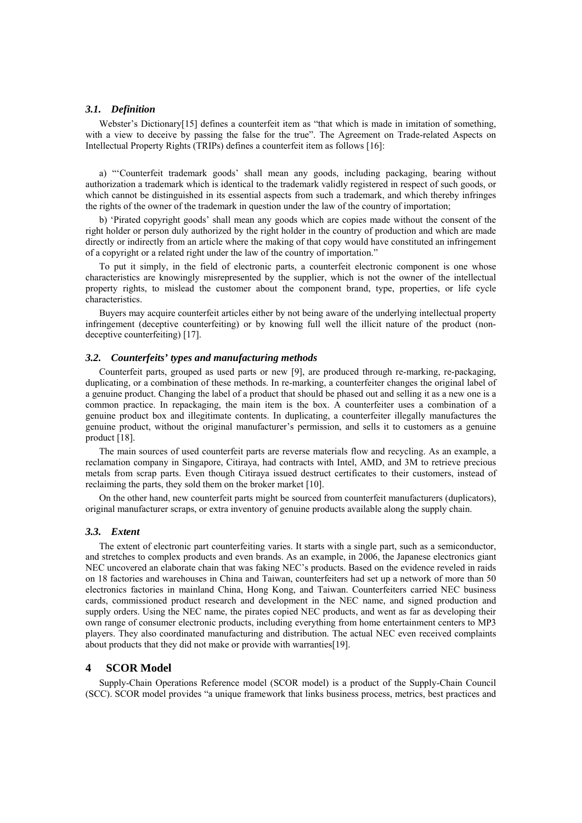#### *3.1. Definition*

Webster's Dictionary<sup>[15]</sup> defines a counterfeit item as "that which is made in imitation of something, with a view to deceive by passing the false for the true". The Agreement on Trade-related Aspects on Intellectual Property Rights (TRIPs) defines a counterfeit item as follows [16]:

a) "'Counterfeit trademark goods' shall mean any goods, including packaging, bearing without authorization a trademark which is identical to the trademark validly registered in respect of such goods, or which cannot be distinguished in its essential aspects from such a trademark, and which thereby infringes the rights of the owner of the trademark in question under the law of the country of importation;

b) 'Pirated copyright goods' shall mean any goods which are copies made without the consent of the right holder or person duly authorized by the right holder in the country of production and which are made directly or indirectly from an article where the making of that copy would have constituted an infringement of a copyright or a related right under the law of the country of importation."

To put it simply, in the field of electronic parts, a counterfeit electronic component is one whose characteristics are knowingly misrepresented by the supplier, which is not the owner of the intellectual property rights, to mislead the customer about the component brand, type, properties, or life cycle characteristics.

Buyers may acquire counterfeit articles either by not being aware of the underlying intellectual property infringement (deceptive counterfeiting) or by knowing full well the illicit nature of the product (nondeceptive counterfeiting) [17].

# *3.2. Counterfeits' types and manufacturing methods*

Counterfeit parts, grouped as used parts or new [9], are produced through re-marking, re-packaging, duplicating, or a combination of these methods. In re-marking, a counterfeiter changes the original label of a genuine product. Changing the label of a product that should be phased out and selling it as a new one is a common practice. In repackaging, the main item is the box. A counterfeiter uses a combination of a genuine product box and illegitimate contents. In duplicating, a counterfeiter illegally manufactures the genuine product, without the original manufacturer's permission, and sells it to customers as a genuine product [18].

The main sources of used counterfeit parts are reverse materials flow and recycling. As an example, a reclamation company in Singapore, Citiraya, had contracts with Intel, AMD, and 3M to retrieve precious metals from scrap parts. Even though Citiraya issued destruct certificates to their customers, instead of reclaiming the parts, they sold them on the broker market [10].

On the other hand, new counterfeit parts might be sourced from counterfeit manufacturers (duplicators), original manufacturer scraps, or extra inventory of genuine products available along the supply chain.

### *3.3. Extent*

The extent of electronic part counterfeiting varies. It starts with a single part, such as a semiconductor, and stretches to complex products and even brands. As an example, in 2006, the Japanese electronics giant NEC uncovered an elaborate chain that was faking NEC's products. Based on the evidence reveled in raids on 18 factories and warehouses in China and Taiwan, counterfeiters had set up a network of more than 50 electronics factories in mainland China, Hong Kong, and Taiwan. Counterfeiters carried NEC business cards, commissioned product research and development in the NEC name, and signed production and supply orders. Using the NEC name, the pirates copied NEC products, and went as far as developing their own range of consumer electronic products, including everything from home entertainment centers to MP3 players. They also coordinated manufacturing and distribution. The actual NEC even received complaints about products that they did not make or provide with warranties [19].

# **4 SCOR Model**

Supply-Chain Operations Reference model (SCOR model) is a product of the Supply-Chain Council (SCC). SCOR model provides "a unique framework that links business process, metrics, best practices and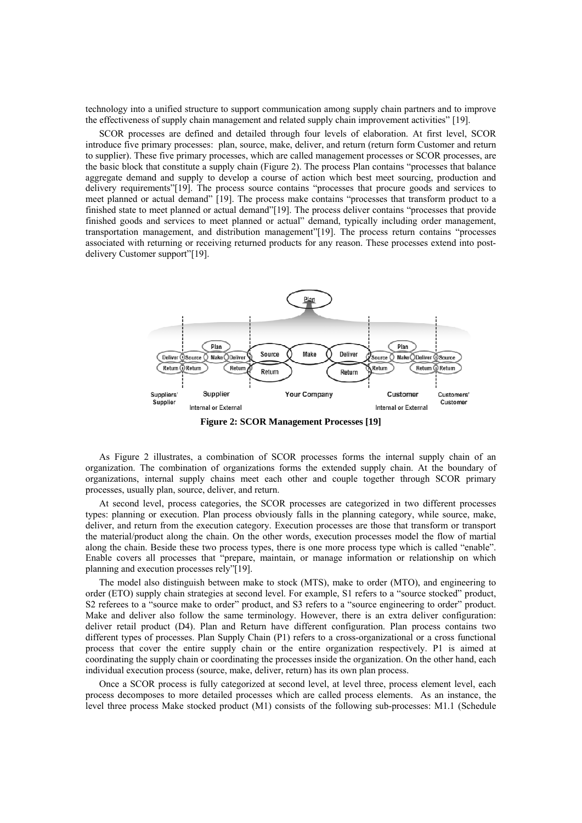technology into a unified structure to support communication among supply chain partners and to improve the effectiveness of supply chain management and related supply chain improvement activities" [19].

SCOR processes are defined and detailed through four levels of elaboration. At first level, SCOR introduce five primary processes: plan, source, make, deliver, and return (return form Customer and return to supplier). These five primary processes, which are called management processes or SCOR processes, are the basic block that constitute a supply chain (Figure 2). The process Plan contains "processes that balance aggregate demand and supply to develop a course of action which best meet sourcing, production and delivery requirements" [19]. The process source contains "processes that procure goods and services to meet planned or actual demand" [19]. The process make contains "processes that transform product to a finished state to meet planned or actual demand" [19]. The process deliver contains "processes that provide finished goods and services to meet planned or actual" demand, typically including order management, transportation management, and distribution management" [19]. The process return contains "processes associated with returning or receiving returned products for any reason. These processes extend into postdelivery Customer support" [19].



**Figure 2: SCOR Management Processes [19]** 

As Figure 2 illustrates, a combination of SCOR processes forms the internal supply chain of an organization. The combination of organizations forms the extended supply chain. At the boundary of organizations, internal supply chains meet each other and couple together through SCOR primary processes, usually plan, source, deliver, and return.

At second level, process categories, the SCOR processes are categorized in two different processes types: planning or execution. Plan process obviously falls in the planning category, while source, make, deliver, and return from the execution category. Execution processes are those that transform or transport the material/product along the chain. On the other words, execution processes model the flow of martial along the chain. Beside these two process types, there is one more process type which is called "enable". Enable covers all processes that "prepare, maintain, or manage information or relationship on which planning and execution processes rely" [19].

The model also distinguish between make to stock (MTS), make to order (MTO), and engineering to order (ETO) supply chain strategies at second level. For example, S1 refers to a "source stocked" product, S2 referees to a "source make to order" product, and S3 refers to a "source engineering to order" product. Make and deliver also follow the same terminology. However, there is an extra deliver configuration: deliver retail product (D4). Plan and Return have different configuration. Plan process contains two different types of processes. Plan Supply Chain (P1) refers to a cross-organizational or a cross functional process that cover the entire supply chain or the entire organization respectively. P1 is aimed at coordinating the supply chain or coordinating the processes inside the organization. On the other hand, each individual execution process (source, make, deliver, return) has its own plan process.

Once a SCOR process is fully categorized at second level, at level three, process element level, each process decomposes to more detailed processes which are called process elements. As an instance, the level three process Make stocked product (M1) consists of the following sub-processes: M1.1 (Schedule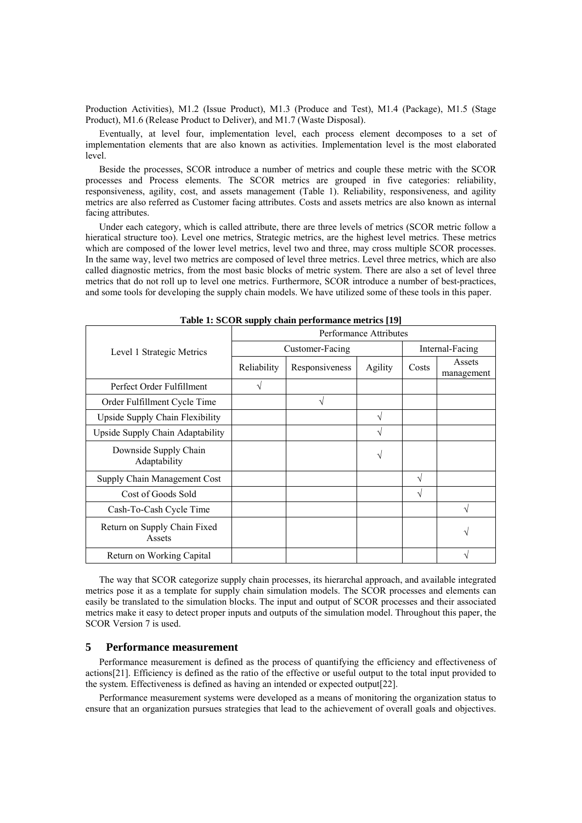Production Activities), M1.2 (Issue Product), M1.3 (Produce and Test), M1.4 (Package), M1.5 (Stage Product), M1.6 (Release Product to Deliver), and M1.7 (Waste Disposal).

Eventually, at level four, implementation level, each process element decomposes to a set of implementation elements that are also known as activities. Implementation level is the most elaborated level.

Beside the processes, SCOR introduce a number of metrics and couple these metric with the SCOR processes and Process elements. The SCOR metrics are grouped in five categories: reliability, responsiveness, agility, cost, and assets management (Table 1). Reliability, responsiveness, and agility metrics are also referred as Customer facing attributes. Costs and assets metrics are also known as internal facing attributes.

Under each category, which is called attribute, there are three levels of metrics (SCOR metric follow a hieratical structure too). Level one metrics, Strategic metrics, are the highest level metrics. These metrics which are composed of the lower level metrics, level two and three, may cross multiple SCOR processes. In the same way, level two metrics are composed of level three metrics. Level three metrics, which are also called diagnostic metrics, from the most basic blocks of metric system. There are also a set of level three metrics that do not roll up to level one metrics. Furthermore, SCOR introduce a number of best-practices, and some tools for developing the supply chain models. We have utilized some of these tools in this paper.

|                                        | --------<br><b>Performance Attributes</b> |                 |                 |               |                      |  |
|----------------------------------------|-------------------------------------------|-----------------|-----------------|---------------|----------------------|--|
| Level 1 Strategic Metrics              |                                           | Customer-Facing | Internal-Facing |               |                      |  |
|                                        | Reliability                               | Responsiveness  | Agility         | Costs         | Assets<br>management |  |
| Perfect Order Fulfillment              | N                                         |                 |                 |               |                      |  |
| Order Fulfillment Cycle Time           |                                           |                 |                 |               |                      |  |
| Upside Supply Chain Flexibility        |                                           |                 |                 |               |                      |  |
| Upside Supply Chain Adaptability       |                                           |                 | N               |               |                      |  |
| Downside Supply Chain<br>Adaptability  |                                           |                 |                 |               |                      |  |
| Supply Chain Management Cost           |                                           |                 |                 | N             |                      |  |
| Cost of Goods Sold                     |                                           |                 |                 | $\mathcal{L}$ |                      |  |
| Cash-To-Cash Cycle Time                |                                           |                 |                 |               |                      |  |
| Return on Supply Chain Fixed<br>Assets |                                           |                 |                 |               |                      |  |
| Return on Working Capital              |                                           |                 |                 |               |                      |  |

**Table 1: SCOR supply chain performance metrics [19]** 

The way that SCOR categorize supply chain processes, its hierarchal approach, and available integrated metrics pose it as a template for supply chain simulation models. The SCOR processes and elements can easily be translated to the simulation blocks. The input and output of SCOR processes and their associated metrics make it easy to detect proper inputs and outputs of the simulation model. Throughout this paper, the SCOR Version 7 is used.

# **5 Performance measurement**

Performance measurement is defined as the process of quantifying the efficiency and effectiveness of actions [21]. Efficiency is defined as the ratio of the effective or useful output to the total input provided to the system. Effectiveness is defined as having an intended or expected output [22].

Performance measurement systems were developed as a means of monitoring the organization status to ensure that an organization pursues strategies that lead to the achievement of overall goals and objectives.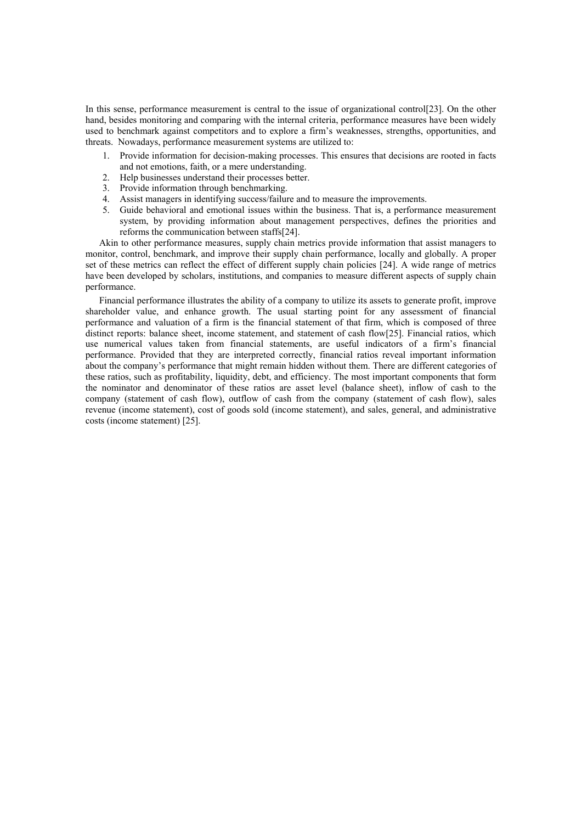In this sense, performance measurement is central to the issue of organizational control  $[23]$ . On the other hand, besides monitoring and comparing with the internal criteria, performance measures have been widely used to benchmark against competitors and to explore a firm's weaknesses, strengths, opportunities, and threats. Nowadays, performance measurement systems are utilized to:

- 1. Provide information for decision-making processes. This ensures that decisions are rooted in facts and not emotions, faith, or a mere understanding.
- 2. Help businesses understand their processes better.
- 3. Provide information through benchmarking.
- 4. Assist managers in identifying success/failure and to measure the improvements.
- 5. Guide behavioral and emotional issues within the business. That is, a performance measurement system, by providing information about management perspectives, defines the priorities and reforms the communication between staffs [24].

Akin to other performance measures, supply chain metrics provide information that assist managers to monitor, control, benchmark, and improve their supply chain performance, locally and globally. A proper set of these metrics can reflect the effect of different supply chain policies [24]. A wide range of metrics have been developed by scholars, institutions, and companies to measure different aspects of supply chain performance.

Financial performance illustrates the ability of a company to utilize its assets to generate profit, improve shareholder value, and enhance growth. The usual starting point for any assessment of financial performance and valuation of a firm is the financial statement of that firm, which is composed of three distinct reports: balance sheet, income statement, and statement of cash flow[25]. Financial ratios, which use numerical values taken from financial statements, are useful indicators of a firm's financial performance. Provided that they are interpreted correctly, financial ratios reveal important information about the company's performance that might remain hidden without them. There are different categories of these ratios, such as profitability, liquidity, debt, and efficiency. The most important components that form the nominator and denominator of these ratios are asset level (balance sheet), inflow of cash to the company (statement of cash flow), outflow of cash from the company (statement of cash flow), sales revenue (income statement), cost of goods sold (income statement), and sales, general, and administrative costs (income statement) [25].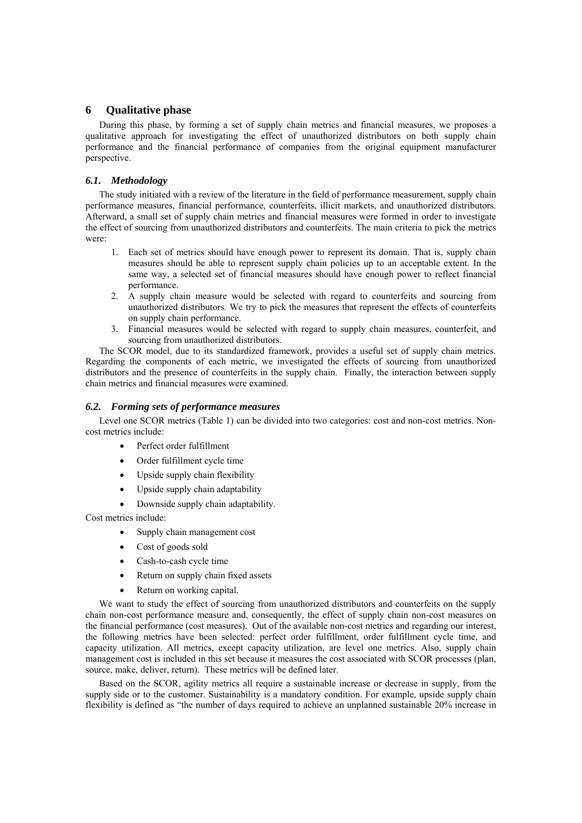# **6 Qualitative phase**

During this phase, by forming a set of supply chain metrics and financial measures, we proposes a qualitative approach for investigating the effect of unauthorized distributors on both supply chain performance and the financial performance of companies from the original equipment manufacturer perspective.

# *6.1. Methodology*

The study initiated with a review of the literature in the field of performance measurement, supply chain performance measures, financial performance, counterfeits, illicit markets, and unauthorized distributors. Afterward, a small set of supply chain metrics and financial measures were formed in order to investigate the effect of sourcing from unauthorized distributors and counterfeits. The main criteria to pick the metrics were:

- 1. Each set of metrics should have enough power to represent its domain. That is, supply chain measures should be able to represent supply chain policies up to an acceptable extent. In the same way, a selected set of financial measures should have enough power to reflect financial performance.
- 2. A supply chain measure would be selected with regard to counterfeits and sourcing from unauthorized distributors. We try to pick the measures that represent the effects of counterfeits on supply chain performance.
- 3. Financial measures would be selected with regard to supply chain measures, counterfeit, and sourcing from unauthorized distributors.

The SCOR model, due to its standardized framework, provides a useful set of supply chain metrics. Regarding the components of each metric, we investigated the effects of sourcing from unauthorized distributors and the presence of counterfeits in the supply chain. Finally, the interaction between supply chain metrics and financial measures were examined.

# *6.2. Forming sets of performance measures*

Level one SCOR metrics (Table 1) can be divided into two categories: cost and non-cost metrics. Noncost metrics include:

- Perfect order fulfillment
- Order fulfillment cycle time
- Upside supply chain flexibility
- Upside supply chain adaptability
- Downside supply chain adaptability.

Cost metrics include:

- Supply chain management cost
- Cost of goods sold
- Cash-to-cash cycle time
- Return on supply chain fixed assets
- Return on working capital.

We want to study the effect of sourcing from unauthorized distributors and counterfeits on the supply chain non-cost performance measure and, consequently, the effect of supply chain non-cost measures on the financial performance (cost measures). Out of the available non-cost metrics and regarding our interest, the following metrics have been selected: perfect order fulfillment, order fulfillment cycle time, and capacity utilization. All metrics, except capacity utilization, are level one metrics. Also, supply chain management cost is included in this set because it measures the cost associated with SCOR processes (plan, source, make, deliver, return). These metrics will be defined later.

Based on the SCOR, agility metrics all require a sustainable increase or decrease in supply, from the supply side or to the customer. Sustainability is a mandatory condition. For example, upside supply chain flexibility is defined as "the number of days required to achieve an unplanned sustainable 20% increase in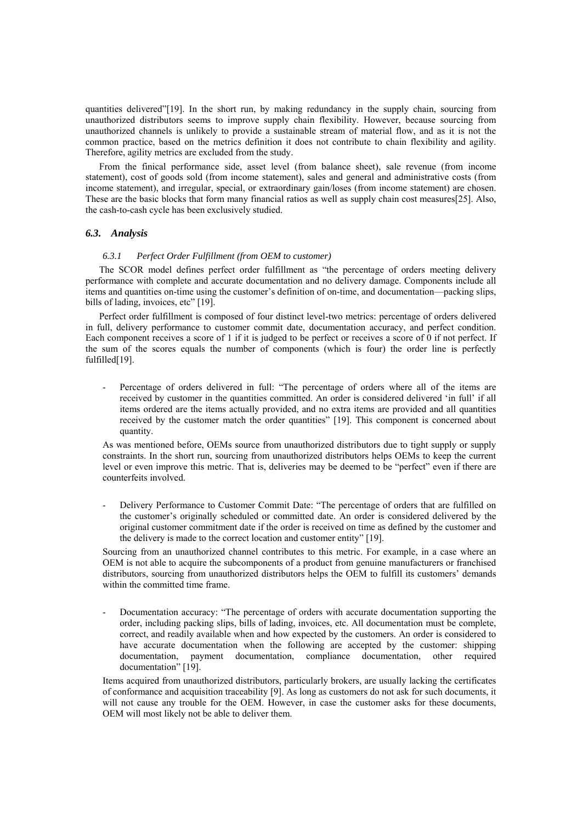quantities delivered" [19]. In the short run, by making redundancy in the supply chain, sourcing from unauthorized distributors seems to improve supply chain flexibility. However, because sourcing from unauthorized channels is unlikely to provide a sustainable stream of material flow, and as it is not the common practice, based on the metrics definition it does not contribute to chain flexibility and agility. Therefore, agility metrics are excluded from the study.

From the finical performance side, asset level (from balance sheet), sale revenue (from income statement), cost of goods sold (from income statement), sales and general and administrative costs (from income statement), and irregular, special, or extraordinary gain/loses (from income statement) are chosen. These are the basic blocks that form many financial ratios as well as supply chain cost measures [25]. Also, the cash-to-cash cycle has been exclusively studied.

# *6.3. Analysis*

### *6.3.1 Perfect Order Fulfillment (from OEM to customer)*

The SCOR model defines perfect order fulfillment as "the percentage of orders meeting delivery performance with complete and accurate documentation and no delivery damage. Components include all items and quantities on-time using the customer's definition of on-time, and documentation—packing slips, bills of lading, invoices, etc" [19].

Perfect order fulfillment is composed of four distinct level-two metrics: percentage of orders delivered in full, delivery performance to customer commit date, documentation accuracy, and perfect condition. Each component receives a score of 1 if it is judged to be perfect or receives a score of 0 if not perfect. If the sum of the scores equals the number of components (which is four) the order line is perfectly fulfilled[19].

Percentage of orders delivered in full: "The percentage of orders where all of the items are received by customer in the quantities committed. An order is considered delivered 'in full' if all items ordered are the items actually provided, and no extra items are provided and all quantities received by the customer match the order quantities" [19]. This component is concerned about quantity.

As was mentioned before, OEMs source from unauthorized distributors due to tight supply or supply constraints. In the short run, sourcing from unauthorized distributors helps OEMs to keep the current level or even improve this metric. That is, deliveries may be deemed to be "perfect" even if there are counterfeits involved.

Delivery Performance to Customer Commit Date: "The percentage of orders that are fulfilled on the customer's originally scheduled or committed date. An order is considered delivered by the original customer commitment date if the order is received on time as defined by the customer and the delivery is made to the correct location and customer entity" [19].

Sourcing from an unauthorized channel contributes to this metric. For example, in a case where an OEM is not able to acquire the subcomponents of a product from genuine manufacturers or franchised distributors, sourcing from unauthorized distributors helps the OEM to fulfill its customers' demands within the committed time frame.

Documentation accuracy: "The percentage of orders with accurate documentation supporting the order, including packing slips, bills of lading, invoices, etc. All documentation must be complete, correct, and readily available when and how expected by the customers. An order is considered to have accurate documentation when the following are accepted by the customer: shipping documentation, payment documentation, compliance documentation, other required documentation" [19].

Items acquired from unauthorized distributors, particularly brokers, are usually lacking the certificates of conformance and acquisition traceability [9]. As long as customers do not ask for such documents, it will not cause any trouble for the OEM. However, in case the customer asks for these documents, OEM will most likely not be able to deliver them.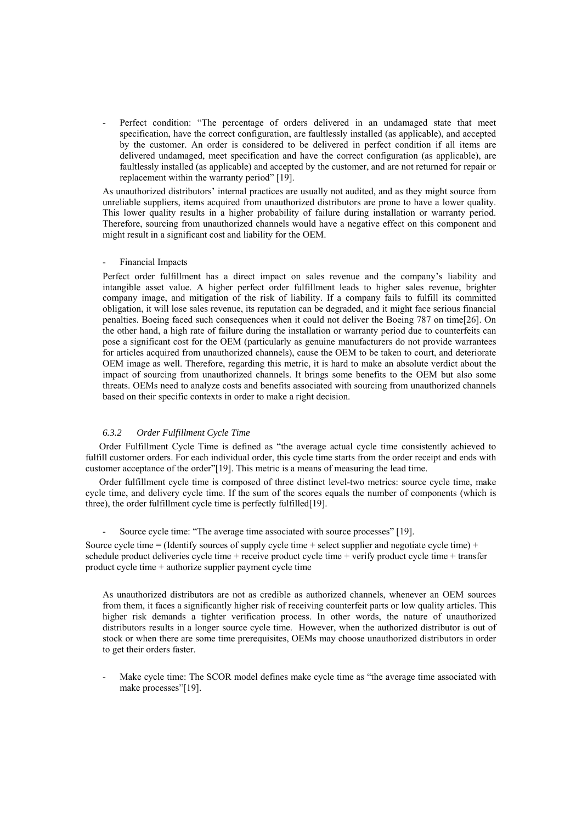Perfect condition: "The percentage of orders delivered in an undamaged state that meet specification, have the correct configuration, are faultlessly installed (as applicable), and accepted by the customer. An order is considered to be delivered in perfect condition if all items are delivered undamaged, meet specification and have the correct configuration (as applicable), are faultlessly installed (as applicable) and accepted by the customer, and are not returned for repair or replacement within the warranty period" [19].

As unauthorized distributors' internal practices are usually not audited, and as they might source from unreliable suppliers, items acquired from unauthorized distributors are prone to have a lower quality. This lower quality results in a higher probability of failure during installation or warranty period. Therefore, sourcing from unauthorized channels would have a negative effect on this component and might result in a significant cost and liability for the OEM.

### Financial Impacts

Perfect order fulfillment has a direct impact on sales revenue and the company's liability and intangible asset value. A higher perfect order fulfillment leads to higher sales revenue, brighter company image, and mitigation of the risk of liability. If a company fails to fulfill its committed obligation, it will lose sales revenue, its reputation can be degraded, and it might face serious financial penalties. Boeing faced such consequences when it could not deliver the Boeing 787 on time[26]. On the other hand, a high rate of failure during the installation or warranty period due to counterfeits can pose a significant cost for the OEM (particularly as genuine manufacturers do not provide warrantees for articles acquired from unauthorized channels), cause the OEM to be taken to court, and deteriorate OEM image as well. Therefore, regarding this metric, it is hard to make an absolute verdict about the impact of sourcing from unauthorized channels. It brings some benefits to the OEM but also some threats. OEMs need to analyze costs and benefits associated with sourcing from unauthorized channels based on their specific contexts in order to make a right decision.

### *6.3.2 Order Fulfillment Cycle Time*

Order Fulfillment Cycle Time is defined as "the average actual cycle time consistently achieved to fulfill customer orders. For each individual order, this cycle time starts from the order receipt and ends with customer acceptance of the order" [19]. This metric is a means of measuring the lead time.

Order fulfillment cycle time is composed of three distinct level-two metrics: source cycle time, make cycle time, and delivery cycle time. If the sum of the scores equals the number of components (which is three), the order fulfillment cycle time is perfectly fulfilled [19].

#### Source cycle time: "The average time associated with source processes" [19].

Source cycle time = (Identify sources of supply cycle time + select supplier and negotiate cycle time) + schedule product deliveries cycle time + receive product cycle time + verify product cycle time + transfer product cycle time + authorize supplier payment cycle time

As unauthorized distributors are not as credible as authorized channels, whenever an OEM sources from them, it faces a significantly higher risk of receiving counterfeit parts or low quality articles. This higher risk demands a tighter verification process. In other words, the nature of unauthorized distributors results in a longer source cycle time. However, when the authorized distributor is out of stock or when there are some time prerequisites, OEMs may choose unauthorized distributors in order to get their orders faster.

Make cycle time: The SCOR model defines make cycle time as "the average time associated with make processes"[19].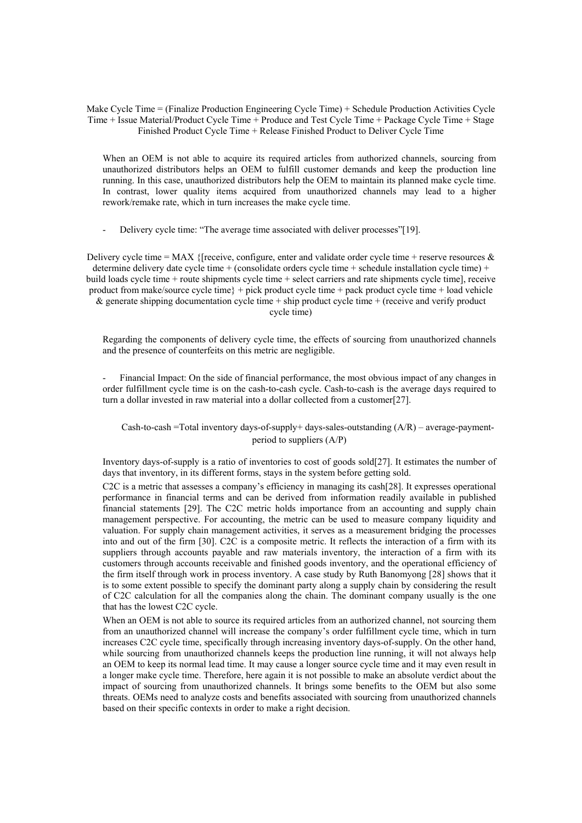Make Cycle Time = (Finalize Production Engineering Cycle Time) + Schedule Production Activities Cycle Time + Issue Material/Product Cycle Time + Produce and Test Cycle Time + Package Cycle Time + Stage Finished Product Cycle Time + Release Finished Product to Deliver Cycle Time

When an OEM is not able to acquire its required articles from authorized channels, sourcing from unauthorized distributors helps an OEM to fulfill customer demands and keep the production line running. In this case, unauthorized distributors help the OEM to maintain its planned make cycle time. In contrast, lower quality items acquired from unauthorized channels may lead to a higher rework/remake rate, which in turn increases the make cycle time.

Delivery cycle time: "The average time associated with deliver processes" [19].

Delivery cycle time = MAX {[receive, configure, enter and validate order cycle time + reserve resources  $\&$ determine delivery date cycle time + (consolidate orders cycle time + schedule installation cycle time) + build loads cycle time + route shipments cycle time + select carriers and rate shipments cycle time], receive product from make/source cycle time} + pick product cycle time + pack product cycle time + load vehicle & generate shipping documentation cycle time  $+$  ship product cycle time  $+$  (receive and verify product cycle time)

Regarding the components of delivery cycle time, the effects of sourcing from unauthorized channels and the presence of counterfeits on this metric are negligible.

- Financial Impact: On the side of financial performance, the most obvious impact of any changes in order fulfillment cycle time is on the cash-to-cash cycle. Cash-to-cash is the average days required to turn a dollar invested in raw material into a dollar collected from a customer [27].

# Cash-to-cash =Total inventory days-of-supply+ days-sales-outstanding  $(A/R)$  – average-paymentperiod to suppliers (A/P)

Inventory days-of-supply is a ratio of inventories to cost of goods sold[27]. It estimates the number of days that inventory, in its different forms, stays in the system before getting sold.

C2C is a metric that assesses a company's efficiency in managing its cash [28]. It expresses operational performance in financial terms and can be derived from information readily available in published financial statements [29]. The C2C metric holds importance from an accounting and supply chain management perspective. For accounting, the metric can be used to measure company liquidity and valuation. For supply chain management activities, it serves as a measurement bridging the processes into and out of the firm [30]. C2C is a composite metric. It reflects the interaction of a firm with its suppliers through accounts payable and raw materials inventory, the interaction of a firm with its customers through accounts receivable and finished goods inventory, and the operational efficiency of the firm itself through work in process inventory. A case study by Ruth Banomyong [28] shows that it is to some extent possible to specify the dominant party along a supply chain by considering the result of C2C calculation for all the companies along the chain. The dominant company usually is the one that has the lowest C2C cycle.

When an OEM is not able to source its required articles from an authorized channel, not sourcing them from an unauthorized channel will increase the company's order fulfillment cycle time, which in turn increases C2C cycle time, specifically through increasing inventory days-of-supply. On the other hand, while sourcing from unauthorized channels keeps the production line running, it will not always help an OEM to keep its normal lead time. It may cause a longer source cycle time and it may even result in a longer make cycle time. Therefore, here again it is not possible to make an absolute verdict about the impact of sourcing from unauthorized channels. It brings some benefits to the OEM but also some threats. OEMs need to analyze costs and benefits associated with sourcing from unauthorized channels based on their specific contexts in order to make a right decision.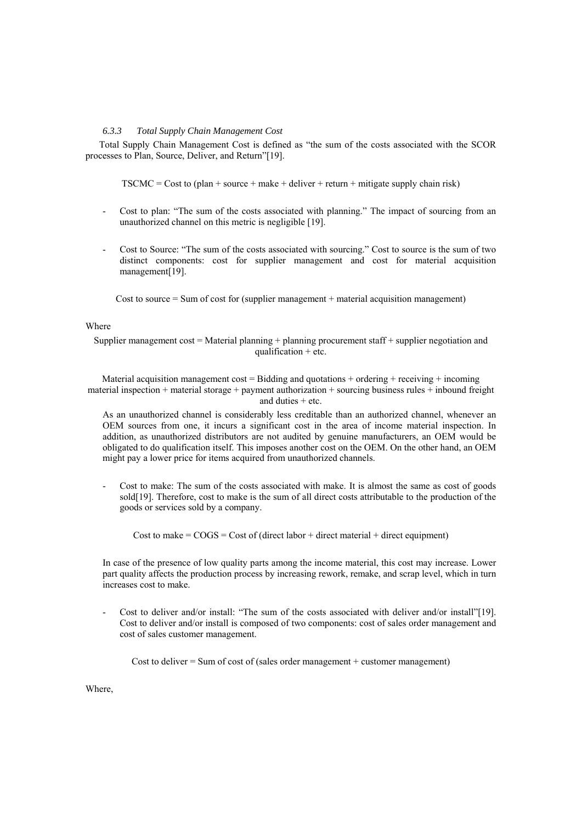### *6.3.3 Total Supply Chain Management Cost*

Total Supply Chain Management Cost is defined as "the sum of the costs associated with the SCOR processes to Plan, Source, Deliver, and Return" [19].

 $TSCMC = Cost to (plan + source + make + deliver + return + mitigate supply chain risk)$ 

- Cost to plan: "The sum of the costs associated with planning." The impact of sourcing from an unauthorized channel on this metric is negligible [19].
- Cost to Source: "The sum of the costs associated with sourcing." Cost to source is the sum of two distinct components: cost for supplier management and cost for material acquisition management<sup>[19]</sup>.

Cost to source  $=$  Sum of cost for (supplier management  $+$  material acquisition management)

# Where

Supplier management  $cost = Material$  planning + planning procurement staff + supplier negotiation and qualification  $+$  etc.

Material acquisition management cost = Bidding and quotations + ordering + receiving + incoming material inspection + material storage + payment authorization + sourcing business rules + inbound freight and duties + etc.

As an unauthorized channel is considerably less creditable than an authorized channel, whenever an OEM sources from one, it incurs a significant cost in the area of income material inspection. In addition, as unauthorized distributors are not audited by genuine manufacturers, an OEM would be obligated to do qualification itself. This imposes another cost on the OEM. On the other hand, an OEM might pay a lower price for items acquired from unauthorized channels.

Cost to make: The sum of the costs associated with make. It is almost the same as cost of goods sold [19]. Therefore, cost to make is the sum of all direct costs attributable to the production of the goods or services sold by a company.

Cost to make  $=$  COGS  $=$  Cost of (direct labor  $+$  direct material  $+$  direct equipment)

In case of the presence of low quality parts among the income material, this cost may increase. Lower part quality affects the production process by increasing rework, remake, and scrap level, which in turn increases cost to make.

Cost to deliver and/or install: "The sum of the costs associated with deliver and/or install"[19]. Cost to deliver and/or install is composed of two components: cost of sales order management and cost of sales customer management.

Cost to deliver  $=$  Sum of cost of (sales order management  $+$  customer management)

Where,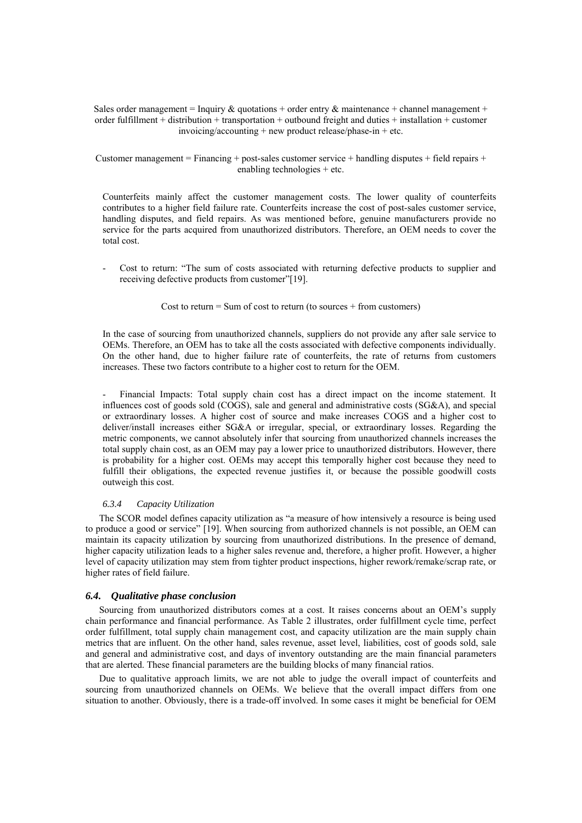Sales order management = Inquiry  $\&$  quotations + order entry  $\&$  maintenance + channel management + order fulfillment + distribution + transportation + outbound freight and duties + installation + customer invoicing/accounting + new product release/phase-in + etc.

Customer management = Financing + post-sales customer service + handling disputes + field repairs + enabling technologies + etc.

Counterfeits mainly affect the customer management costs. The lower quality of counterfeits contributes to a higher field failure rate. Counterfeits increase the cost of post-sales customer service, handling disputes, and field repairs. As was mentioned before, genuine manufacturers provide no service for the parts acquired from unauthorized distributors. Therefore, an OEM needs to cover the total cost.

Cost to return: "The sum of costs associated with returning defective products to supplier and receiving defective products from customer" [19].

Cost to return  $=$  Sum of cost to return (to sources  $+$  from customers)

In the case of sourcing from unauthorized channels, suppliers do not provide any after sale service to OEMs. Therefore, an OEM has to take all the costs associated with defective components individually. On the other hand, due to higher failure rate of counterfeits, the rate of returns from customers increases. These two factors contribute to a higher cost to return for the OEM.

- Financial Impacts: Total supply chain cost has a direct impact on the income statement. It influences cost of goods sold (COGS), sale and general and administrative costs (SG&A), and special or extraordinary losses. A higher cost of source and make increases COGS and a higher cost to deliver/install increases either SG&A or irregular, special, or extraordinary losses. Regarding the metric components, we cannot absolutely infer that sourcing from unauthorized channels increases the total supply chain cost, as an OEM may pay a lower price to unauthorized distributors. However, there is probability for a higher cost. OEMs may accept this temporally higher cost because they need to fulfill their obligations, the expected revenue justifies it, or because the possible goodwill costs outweigh this cost.

### *6.3.4 Capacity Utilization*

The SCOR model defines capacity utilization as "a measure of how intensively a resource is being used to produce a good or service" [19]. When sourcing from authorized channels is not possible, an OEM can maintain its capacity utilization by sourcing from unauthorized distributions. In the presence of demand, higher capacity utilization leads to a higher sales revenue and, therefore, a higher profit. However, a higher level of capacity utilization may stem from tighter product inspections, higher rework/remake/scrap rate, or higher rates of field failure.

# *6.4. Qualitative phase conclusion*

Sourcing from unauthorized distributors comes at a cost. It raises concerns about an OEM's supply chain performance and financial performance. As Table 2 illustrates, order fulfillment cycle time, perfect order fulfillment, total supply chain management cost, and capacity utilization are the main supply chain metrics that are influent. On the other hand, sales revenue, asset level, liabilities, cost of goods sold, sale and general and administrative cost, and days of inventory outstanding are the main financial parameters that are alerted. These financial parameters are the building blocks of many financial ratios.

Due to qualitative approach limits, we are not able to judge the overall impact of counterfeits and sourcing from unauthorized channels on OEMs. We believe that the overall impact differs from one situation to another. Obviously, there is a trade-off involved. In some cases it might be beneficial for OEM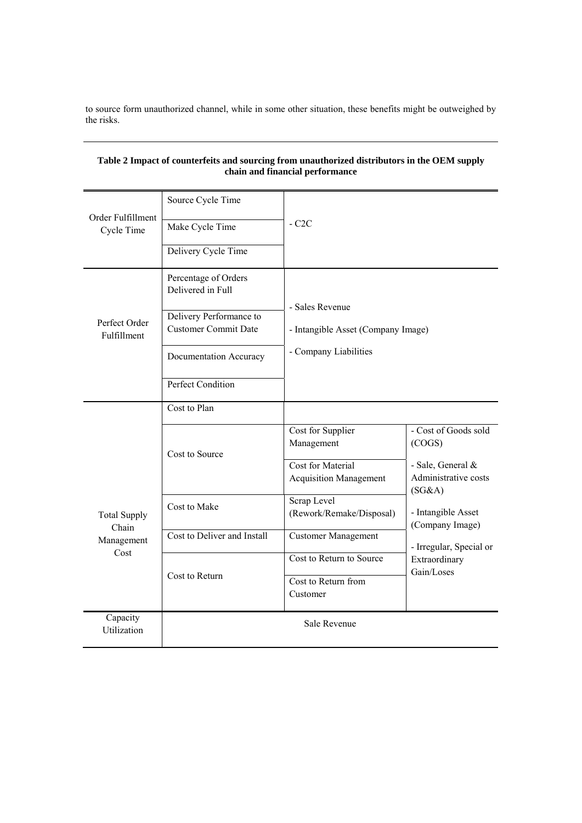to source form unauthorized channel, while in some other situation, these benefits might be outweighed by the risks.

| Order Fulfillment<br>Cycle Time | Source Cycle Time<br>Make Cycle Time<br>Delivery Cycle Time                                                                                               | $-C2C$                                                                                |                                                                                                                                                           |  |  |
|---------------------------------|-----------------------------------------------------------------------------------------------------------------------------------------------------------|---------------------------------------------------------------------------------------|-----------------------------------------------------------------------------------------------------------------------------------------------------------|--|--|
| Perfect Order<br>Fulfillment    | Percentage of Orders<br>Delivered in Full<br>Delivery Performance to<br><b>Customer Commit Date</b><br>Documentation Accuracy<br><b>Perfect Condition</b> | - Sales Revenue<br>- Intangible Asset (Company Image)<br>- Company Liabilities        |                                                                                                                                                           |  |  |
|                                 | Cost to Plan                                                                                                                                              |                                                                                       |                                                                                                                                                           |  |  |
|                                 | Cost to Source                                                                                                                                            | Cost for Supplier<br>Management<br>Cost for Material<br><b>Acquisition Management</b> | - Cost of Goods sold<br>(COGS)<br>- Sale, General &<br>Administrative costs<br>(SG&A)<br>- Intangible Asset<br>(Company Image)<br>- Irregular, Special or |  |  |
| <b>Total Supply</b><br>Chain    | Cost to Make                                                                                                                                              | Scrap Level<br>(Rework/Remake/Disposal)                                               |                                                                                                                                                           |  |  |
| Management                      | Cost to Deliver and Install                                                                                                                               | <b>Customer Management</b>                                                            |                                                                                                                                                           |  |  |
| Cost                            | Cost to Return                                                                                                                                            | Cost to Return to Source<br>Cost to Return from<br>Customer                           | Extraordinary<br>Gain/Loses                                                                                                                               |  |  |
| Capacity<br>Utilization         |                                                                                                                                                           | Sale Revenue                                                                          |                                                                                                                                                           |  |  |

# **Table 2 Impact of counterfeits and sourcing from unauthorized distributors in the OEM supply chain and financial performance**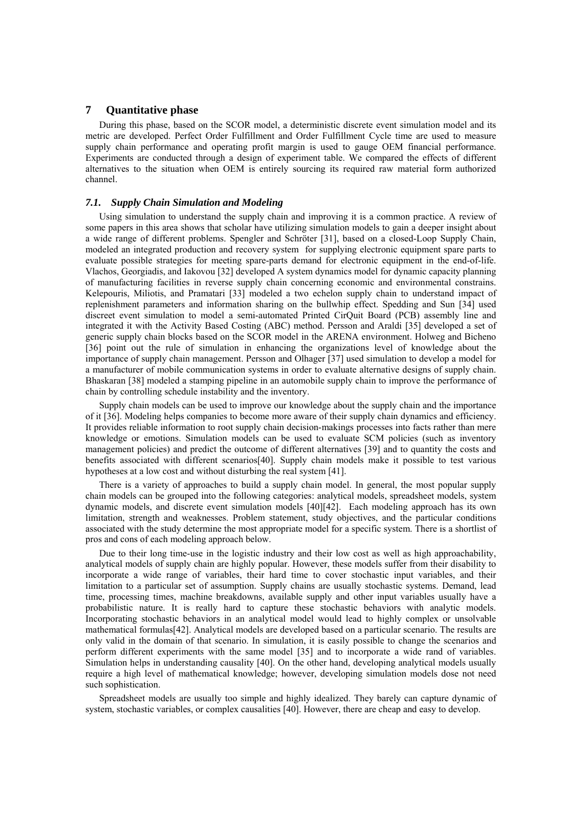# **7 Quantitative phase**

During this phase, based on the SCOR model, a deterministic discrete event simulation model and its metric are developed. Perfect Order Fulfillment and Order Fulfillment Cycle time are used to measure supply chain performance and operating profit margin is used to gauge OEM financial performance. Experiments are conducted through a design of experiment table. We compared the effects of different alternatives to the situation when OEM is entirely sourcing its required raw material form authorized channel.

#### *7.1. Supply Chain Simulation and Modeling*

Using simulation to understand the supply chain and improving it is a common practice. A review of some papers in this area shows that scholar have utilizing simulation models to gain a deeper insight about a wide range of different problems. Spengler and Schröter [31], based on a closed-Loop Supply Chain, modeled an integrated production and recovery system for supplying electronic equipment spare parts to evaluate possible strategies for meeting spare-parts demand for electronic equipment in the end-of-life. Vlachos, Georgiadis, and Iakovou [32] developed A system dynamics model for dynamic capacity planning of manufacturing facilities in reverse supply chain concerning economic and environmental constrains. Kelepouris, Miliotis, and Pramatari [33] modeled a two echelon supply chain to understand impact of replenishment parameters and information sharing on the bullwhip effect. Spedding and Sun [34] used discreet event simulation to model a semi-automated Printed CirQuit Board (PCB) assembly line and integrated it with the Activity Based Costing (ABC) method. Persson and Araldi [35] developed a set of generic supply chain blocks based on the SCOR model in the ARENA environment. Holweg and Bicheno [36] point out the rule of simulation in enhancing the organizations level of knowledge about the importance of supply chain management. Persson and Olhager [37] used simulation to develop a model for a manufacturer of mobile communication systems in order to evaluate alternative designs of supply chain. Bhaskaran [38] modeled a stamping pipeline in an automobile supply chain to improve the performance of chain by controlling schedule instability and the inventory.

Supply chain models can be used to improve our knowledge about the supply chain and the importance of it [36]. Modeling helps companies to become more aware of their supply chain dynamics and efficiency. It provides reliable information to root supply chain decision-makings processes into facts rather than mere knowledge or emotions. Simulation models can be used to evaluate SCM policies (such as inventory management policies) and predict the outcome of different alternatives [39] and to quantity the costs and benefits associated with different scenarios [40]. Supply chain models make it possible to test various hypotheses at a low cost and without disturbing the real system [41].

There is a variety of approaches to build a supply chain model. In general, the most popular supply chain models can be grouped into the following categories: analytical models, spreadsheet models, system dynamic models, and discrete event simulation models [40][42]. Each modeling approach has its own limitation, strength and weaknesses. Problem statement, study objectives, and the particular conditions associated with the study determine the most appropriate model for a specific system. There is a shortlist of pros and cons of each modeling approach below.

Due to their long time-use in the logistic industry and their low cost as well as high approachability, analytical models of supply chain are highly popular. However, these models suffer from their disability to incorporate a wide range of variables, their hard time to cover stochastic input variables, and their limitation to a particular set of assumption. Supply chains are usually stochastic systems. Demand, lead time, processing times, machine breakdowns, available supply and other input variables usually have a probabilistic nature. It is really hard to capture these stochastic behaviors with analytic models. Incorporating stochastic behaviors in an analytical model would lead to highly complex or unsolvable mathematical formulas [42]. Analytical models are developed based on a particular scenario. The results are only valid in the domain of that scenario. In simulation, it is easily possible to change the scenarios and perform different experiments with the same model [35] and to incorporate a wide rand of variables. Simulation helps in understanding causality [40]. On the other hand, developing analytical models usually require a high level of mathematical knowledge; however, developing simulation models dose not need such sophistication.

Spreadsheet models are usually too simple and highly idealized. They barely can capture dynamic of system, stochastic variables, or complex causalities [40]. However, there are cheap and easy to develop.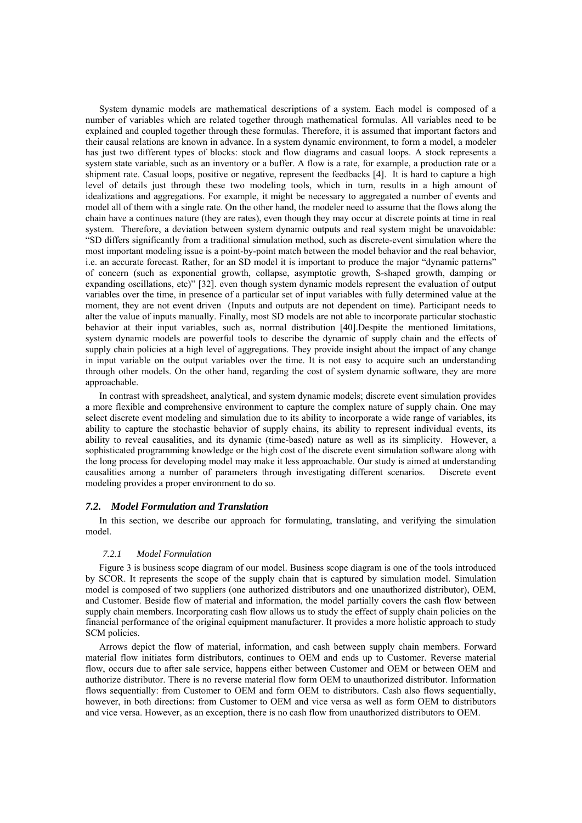System dynamic models are mathematical descriptions of a system. Each model is composed of a number of variables which are related together through mathematical formulas. All variables need to be explained and coupled together through these formulas. Therefore, it is assumed that important factors and their causal relations are known in advance. In a system dynamic environment, to form a model, a modeler has just two different types of blocks: stock and flow diagrams and casual loops. A stock represents a system state variable, such as an inventory or a buffer. A flow is a rate, for example, a production rate or a shipment rate. Casual loops, positive or negative, represent the feedbacks [4]. It is hard to capture a high level of details just through these two modeling tools, which in turn, results in a high amount of idealizations and aggregations. For example, it might be necessary to aggregated a number of events and model all of them with a single rate. On the other hand, the modeler need to assume that the flows along the chain have a continues nature (they are rates), even though they may occur at discrete points at time in real system. Therefore, a deviation between system dynamic outputs and real system might be unavoidable: "SD differs significantly from a traditional simulation method, such as discrete-event simulation where the most important modeling issue is a point-by-point match between the model behavior and the real behavior, i.e. an accurate forecast. Rather, for an SD model it is important to produce the major "dynamic patterns" of concern (such as exponential growth, collapse, asymptotic growth, S-shaped growth, damping or expanding oscillations, etc)" [32]. even though system dynamic models represent the evaluation of output variables over the time, in presence of a particular set of input variables with fully determined value at the moment, they are not event driven (Inputs and outputs are not dependent on time). Participant needs to alter the value of inputs manually. Finally, most SD models are not able to incorporate particular stochastic behavior at their input variables, such as, normal distribution [40].Despite the mentioned limitations, system dynamic models are powerful tools to describe the dynamic of supply chain and the effects of supply chain policies at a high level of aggregations. They provide insight about the impact of any change in input variable on the output variables over the time. It is not easy to acquire such an understanding through other models. On the other hand, regarding the cost of system dynamic software, they are more approachable.

In contrast with spreadsheet, analytical, and system dynamic models; discrete event simulation provides a more flexible and comprehensive environment to capture the complex nature of supply chain. One may select discrete event modeling and simulation due to its ability to incorporate a wide range of variables, its ability to capture the stochastic behavior of supply chains, its ability to represent individual events, its ability to reveal causalities, and its dynamic (time-based) nature as well as its simplicity. However, a sophisticated programming knowledge or the high cost of the discrete event simulation software along with the long process for developing model may make it less approachable. Our study is aimed at understanding causalities among a number of parameters through investigating different scenarios. Discrete event modeling provides a proper environment to do so.

### *7.2. Model Formulation and Translation*

In this section, we describe our approach for formulating, translating, and verifying the simulation model.

#### *7.2.1 Model Formulation*

Figure 3 is business scope diagram of our model. Business scope diagram is one of the tools introduced by SCOR. It represents the scope of the supply chain that is captured by simulation model. Simulation model is composed of two suppliers (one authorized distributors and one unauthorized distributor), OEM, and Customer. Beside flow of material and information, the model partially covers the cash flow between supply chain members. Incorporating cash flow allows us to study the effect of supply chain policies on the financial performance of the original equipment manufacturer. It provides a more holistic approach to study SCM policies.

Arrows depict the flow of material, information, and cash between supply chain members. Forward material flow initiates form distributors, continues to OEM and ends up to Customer. Reverse material flow, occurs due to after sale service, happens either between Customer and OEM or between OEM and authorize distributor. There is no reverse material flow form OEM to unauthorized distributor. Information flows sequentially: from Customer to OEM and form OEM to distributors. Cash also flows sequentially, however, in both directions: from Customer to OEM and vice versa as well as form OEM to distributors and vice versa. However, as an exception, there is no cash flow from unauthorized distributors to OEM.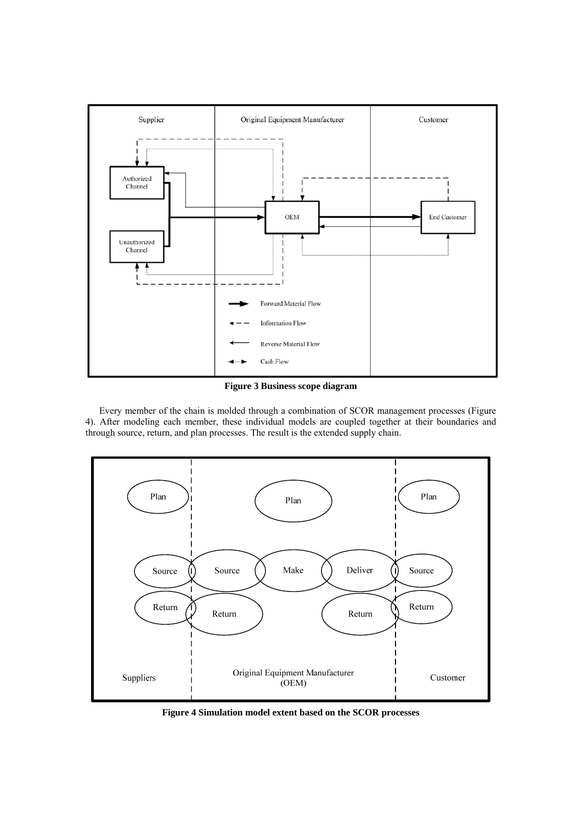

**Figure 3 Business scope diagram** 

Every member of the chain is molded through a combination of SCOR management processes (Figure 4). After modeling each member, these individual models are coupled together at their boundaries and through source, return, and plan processes. The result is the extended supply chain.



**Figure 4 Simulation model extent based on the SCOR processes**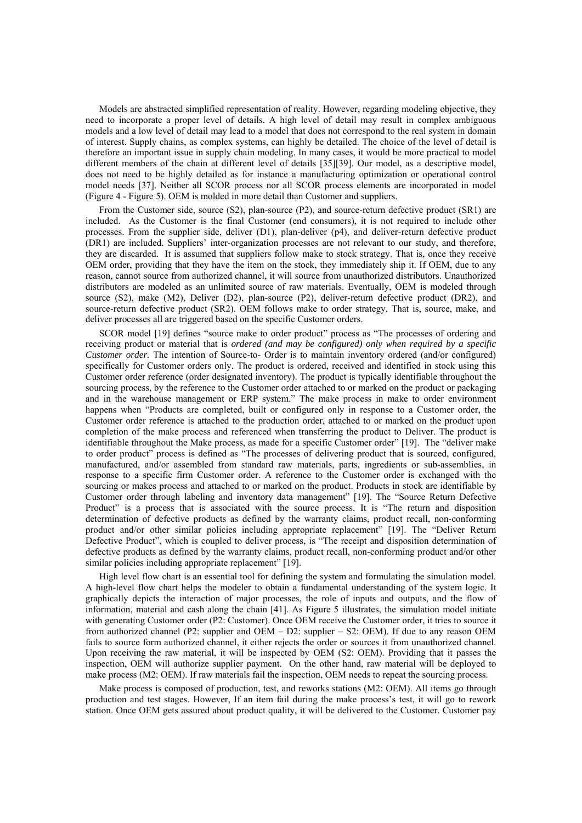Models are abstracted simplified representation of reality. However, regarding modeling objective, they need to incorporate a proper level of details. A high level of detail may result in complex ambiguous models and a low level of detail may lead to a model that does not correspond to the real system in domain of interest. Supply chains, as complex systems, can highly be detailed. The choice of the level of detail is therefore an important issue in supply chain modeling. In many cases, it would be more practical to model different members of the chain at different level of details [35] [39]. Our model, as a descriptive model, does not need to be highly detailed as for instance a manufacturing optimization or operational control model needs [37]. Neither all SCOR process nor all SCOR process elements are incorporated in model (Figure 4 - Figure 5). OEM is molded in more detail than Customer and suppliers.

From the Customer side, source (S2), plan-source (P2), and source-return defective product (SR1) are included. As the Customer is the final Customer (end consumers), it is not required to include other processes. From the supplier side, deliver (D1), plan-deliver (p4), and deliver-return defective product (DR1) are included. Suppliers' inter-organization processes are not relevant to our study, and therefore, they are discarded. It is assumed that suppliers follow make to stock strategy. That is, once they receive OEM order, providing that they have the item on the stock, they immediately ship it. If OEM, due to any reason, cannot source from authorized channel, it will source from unauthorized distributors. Unauthorized distributors are modeled as an unlimited source of raw materials. Eventually, OEM is modeled through source (S2), make (M2), Deliver (D2), plan-source (P2), deliver-return defective product (DR2), and source-return defective product (SR2). OEM follows make to order strategy. That is, source, make, and deliver processes all are triggered based on the specific Customer orders.

SCOR model [19] defines "source make to order product" process as "The processes of ordering and receiving product or material that is *ordered (and may be configured) only when required by a specific Customer order.* The intention of Source-to- Order is to maintain inventory ordered (and/or configured) specifically for Customer orders only. The product is ordered, received and identified in stock using this Customer order reference (order designated inventory). The product is typically identifiable throughout the sourcing process, by the reference to the Customer order attached to or marked on the product or packaging and in the warehouse management or ERP system." The make process in make to order environment happens when "Products are completed, built or configured only in response to a Customer order, the Customer order reference is attached to the production order, attached to or marked on the product upon completion of the make process and referenced when transferring the product to Deliver. The product is identifiable throughout the Make process, as made for a specific Customer order" [19]. The "deliver make to order product" process is defined as "The processes of delivering product that is sourced, configured, manufactured, and/or assembled from standard raw materials, parts, ingredients or sub-assemblies, in response to a specific firm Customer order. A reference to the Customer order is exchanged with the sourcing or makes process and attached to or marked on the product. Products in stock are identifiable by Customer order through labeling and inventory data management" [19]. The "Source Return Defective Product" is a process that is associated with the source process. It is "The return and disposition determination of defective products as defined by the warranty claims, product recall, non-conforming product and/or other similar policies including appropriate replacement" [19]. The "Deliver Return Defective Product", which is coupled to deliver process, is "The receipt and disposition determination of defective products as defined by the warranty claims, product recall, non-conforming product and/or other similar policies including appropriate replacement" [19].

High level flow chart is an essential tool for defining the system and formulating the simulation model. A high-level flow chart helps the modeler to obtain a fundamental understanding of the system logic. It graphically depicts the interaction of major processes, the role of inputs and outputs, and the flow of information, material and cash along the chain [41]. As Figure 5 illustrates, the simulation model initiate with generating Customer order (P2: Customer). Once OEM receive the Customer order, it tries to source it from authorized channel (P2: supplier and OEM – D2: supplier – S2: OEM). If due to any reason OEM fails to source form authorized channel, it either rejects the order or sources it from unauthorized channel. Upon receiving the raw material, it will be inspected by OEM (S2: OEM). Providing that it passes the inspection, OEM will authorize supplier payment. On the other hand, raw material will be deployed to make process (M2: OEM). If raw materials fail the inspection, OEM needs to repeat the sourcing process.

Make process is composed of production, test, and reworks stations (M2: OEM). All items go through production and test stages. However, If an item fail during the make process's test, it will go to rework station. Once OEM gets assured about product quality, it will be delivered to the Customer. Customer pay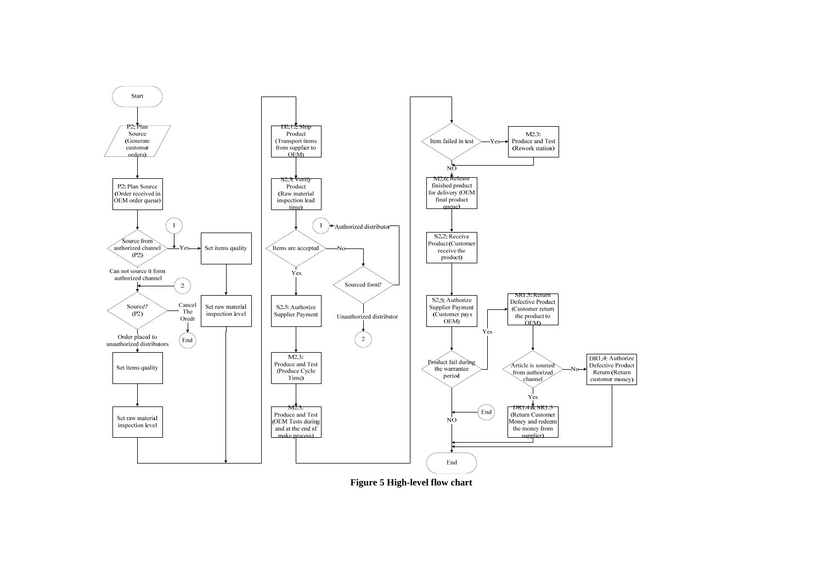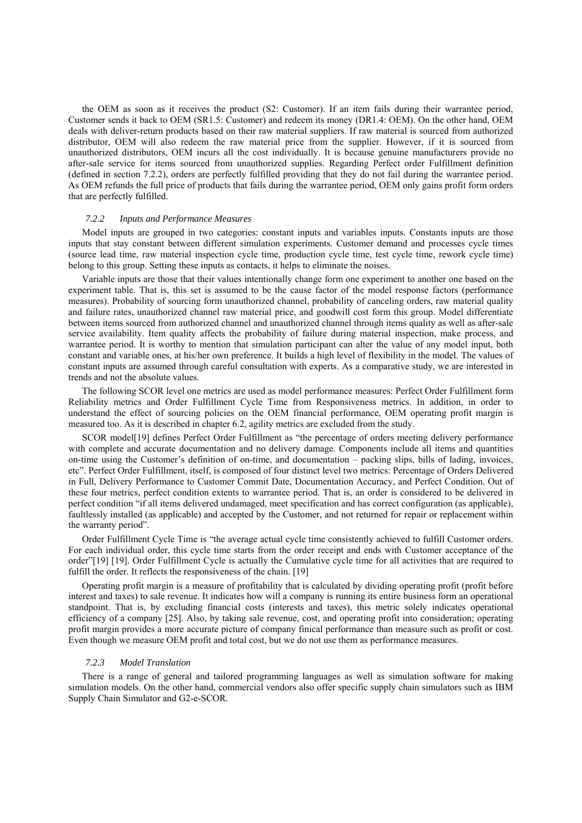the OEM as soon as it receives the product (S2: Customer). If an item fails during their warrantee period, Customer sends it back to OEM (SR1.5: Customer) and redeem its money (DR1.4: OEM). On the other hand, OEM deals with deliver-return products based on their raw material suppliers. If raw material is sourced from authorized distributor, OEM will also redeem the raw material price from the supplier. However, if it is sourced from unauthorized distributors, OEM incurs all the cost individually. It is because genuine manufacturers provide no after-sale service for items sourced from unauthorized supplies. Regarding Perfect order Fulfillment definition (defined in section 7.2.2), orders are perfectly fulfilled providing that they do not fail during the warrantee period. As OEM refunds the full price of products that fails during the warrantee period, OEM only gains profit form orders that are perfectly fulfilled.

#### *7.2.2 Inputs and Performance Measures*

Model inputs are grouped in two categories: constant inputs and variables inputs. Constants inputs are those inputs that stay constant between different simulation experiments. Customer demand and processes cycle times (source lead time, raw material inspection cycle time, production cycle time, test cycle time, rework cycle time) belong to this group. Setting these inputs as contacts, it helps to eliminate the noises.

Variable inputs are those that their values intentionally change form one experiment to another one based on the experiment table. That is, this set is assumed to be the cause factor of the model response factors (performance measures). Probability of sourcing form unauthorized channel, probability of canceling orders, raw material quality and failure rates, unauthorized channel raw material price, and goodwill cost form this group. Model differentiate between items sourced from authorized channel and unauthorized channel through items quality as well as after-sale service availability. Item quality affects the probability of failure during material inspection, make process, and warrantee period. It is worthy to mention that simulation participant can alter the value of any model input, both constant and variable ones, at his/her own preference. It builds a high level of flexibility in the model. The values of constant inputs are assumed through careful consultation with experts. As a comparative study, we are interested in trends and not the absolute values.

The following SCOR level one metrics are used as model performance measures: Perfect Order Fulfillment form Reliability metrics and Order Fulfillment Cycle Time from Responsiveness metrics. In addition, in order to understand the effect of sourcing policies on the OEM financial performance, OEM operating profit margin is measured too. As it is described in chapter 6.2, agility metrics are excluded from the study.

SCOR model<sup>[19]</sup> defines Perfect Order Fulfillment as "the percentage of orders meeting delivery performance with complete and accurate documentation and no delivery damage. Components include all items and quantities on-time using the Customer's definition of on-time, and documentation – packing slips, bills of lading, invoices, etc". Perfect Order Fulfillment, itself, is composed of four distinct level two metrics: Percentage of Orders Delivered in Full, Delivery Performance to Customer Commit Date, Documentation Accuracy, and Perfect Condition. Out of these four metrics, perfect condition extents to warrantee period. That is, an order is considered to be delivered in perfect condition "if all items delivered undamaged, meet specification and has correct configuration (as applicable), faultlessly installed (as applicable) and accepted by the Customer, and not returned for repair or replacement within the warranty period".

Order Fulfillment Cycle Time is "the average actual cycle time consistently achieved to fulfill Customer orders. For each individual order, this cycle time starts from the order receipt and ends with Customer acceptance of the order"[19] [19]. Order Fulfillment Cycle is actually the Cumulative cycle time for all activities that are required to fulfill the order. It reflects the responsiveness of the chain. [19]

Operating profit margin is a measure of profitability that is calculated by dividing operating profit (profit before interest and taxes) to sale revenue. It indicates how will a company is running its entire business form an operational standpoint. That is, by excluding financial costs (interests and taxes), this metric solely indicates operational efficiency of a company [25]. Also, by taking sale revenue, cost, and operating profit into consideration; operating profit margin provides a more accurate picture of company finical performance than measure such as profit or cost. Even though we measure OEM profit and total cost, but we do not use them as performance measures.

### *7.2.3 Model Translation*

There is a range of general and tailored programming languages as well as simulation software for making simulation models. On the other hand, commercial vendors also offer specific supply chain simulators such as IBM Supply Chain Simulator and G2-e-SCOR.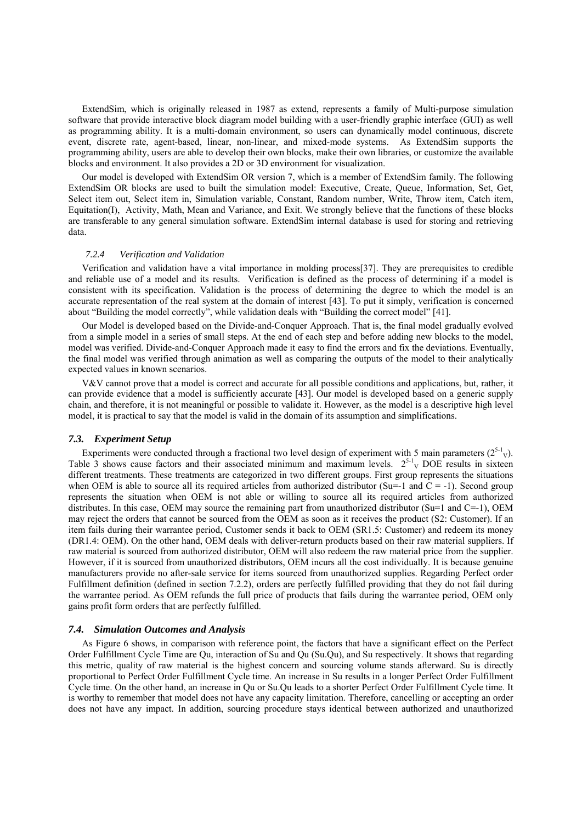ExtendSim, which is originally released in 1987 as extend, represents a family of Multi-purpose simulation software that provide interactive block diagram model building with a user-friendly graphic interface (GUI) as well as programming ability. It is a multi-domain environment, so users can dynamically model continuous, discrete event, discrete rate, agent-based, linear, non-linear, and mixed-mode systems. As ExtendSim supports the programming ability, users are able to develop their own blocks, make their own libraries, or customize the available blocks and environment. It also provides a 2D or 3D environment for visualization.

Our model is developed with ExtendSim OR version 7, which is a member of ExtendSim family. The following ExtendSim OR blocks are used to built the simulation model: Executive, Create, Queue, Information, Set, Get, Select item out, Select item in, Simulation variable, Constant, Random number, Write, Throw item, Catch item, Equitation(I), Activity, Math, Mean and Variance, and Exit. We strongly believe that the functions of these blocks are transferable to any general simulation software. ExtendSim internal database is used for storing and retrieving data.

#### *7.2.4 Verification and Validation*

Verification and validation have a vital importance in molding process [37]. They are prerequisites to credible and reliable use of a model and its results. Verification is defined as the process of determining if a model is consistent with its specification. Validation is the process of determining the degree to which the model is an accurate representation of the real system at the domain of interest [43]. To put it simply, verification is concerned about "Building the model correctly", while validation deals with "Building the correct model" [41].

Our Model is developed based on the Divide-and-Conquer Approach. That is, the final model gradually evolved from a simple model in a series of small steps. At the end of each step and before adding new blocks to the model, model was verified. Divide-and-Conquer Approach made it easy to find the errors and fix the deviations. Eventually, the final model was verified through animation as well as comparing the outputs of the model to their analytically expected values in known scenarios.

V&V cannot prove that a model is correct and accurate for all possible conditions and applications, but, rather, it can provide evidence that a model is sufficiently accurate [43]. Our model is developed based on a generic supply chain, and therefore, it is not meaningful or possible to validate it. However, as the model is a descriptive high level model, it is practical to say that the model is valid in the domain of its assumption and simplifications.

#### *7.3. Experiment Setup*

Experiments were conducted through a fractional two level design of experiment with 5 main parameters  $(2^{5-1}v)$ . Table 3 shows cause factors and their associated minimum and maximum levels.  $2^{5-1}$ <sub>V</sub> DOE results in sixteen different treatments. These treatments are categorized in two different groups. First group represents the situations when OEM is able to source all its required articles from authorized distributor (Su=-1 and  $\dot{C} = -1$ ). Second group represents the situation when OEM is not able or willing to source all its required articles from authorized distributes. In this case, OEM may source the remaining part from unauthorized distributor (Su=1 and C=-1), OEM may reject the orders that cannot be sourced from the OEM as soon as it receives the product (S2: Customer). If an item fails during their warrantee period, Customer sends it back to OEM (SR1.5: Customer) and redeem its money (DR1.4: OEM). On the other hand, OEM deals with deliver-return products based on their raw material suppliers. If raw material is sourced from authorized distributor, OEM will also redeem the raw material price from the supplier. However, if it is sourced from unauthorized distributors, OEM incurs all the cost individually. It is because genuine manufacturers provide no after-sale service for items sourced from unauthorized supplies. Regarding Perfect order Fulfillment definition (defined in section 7.2.2), orders are perfectly fulfilled providing that they do not fail during the warrantee period. As OEM refunds the full price of products that fails during the warrantee period, OEM only gains profit form orders that are perfectly fulfilled.

#### *7.4. Simulation Outcomes and Analysis*

As Figure 6 shows, in comparison with reference point, the factors that have a significant effect on the Perfect Order Fulfillment Cycle Time are Qu, interaction of Su and Qu (Su.Qu), and Su respectively. It shows that regarding this metric, quality of raw material is the highest concern and sourcing volume stands afterward. Su is directly proportional to Perfect Order Fulfillment Cycle time. An increase in Su results in a longer Perfect Order Fulfillment Cycle time. On the other hand, an increase in Qu or Su.Qu leads to a shorter Perfect Order Fulfillment Cycle time. It is worthy to remember that model does not have any capacity limitation. Therefore, cancelling or accepting an order does not have any impact. In addition, sourcing procedure stays identical between authorized and unauthorized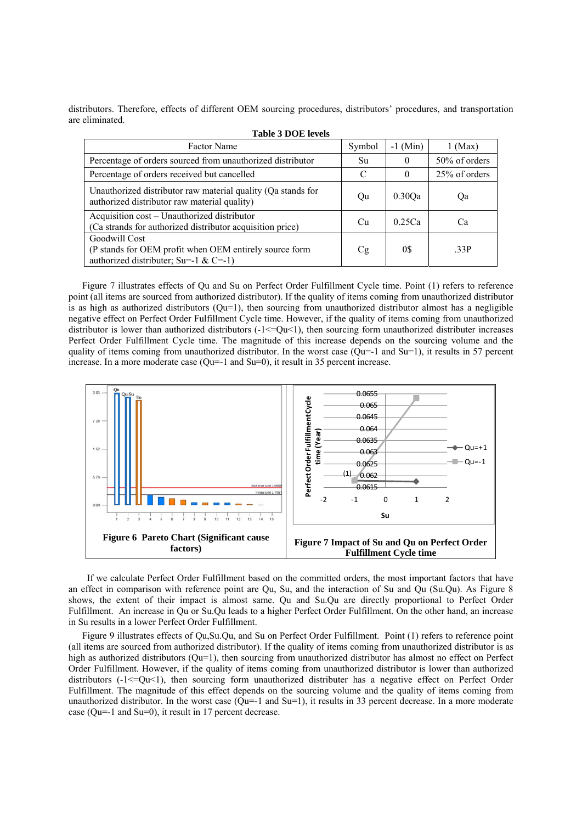distributors. Therefore, effects of different OEM sourcing procedures, distributors' procedures, and transportation are eliminated.

| <b>Table 3 DOE levels</b>                                                                                        |        |            |               |  |  |  |  |
|------------------------------------------------------------------------------------------------------------------|--------|------------|---------------|--|--|--|--|
| <b>Factor Name</b>                                                                                               | Symbol | $-1$ (Min) | $1$ (Max)     |  |  |  |  |
| Percentage of orders sourced from unauthorized distributor                                                       | Su     | $\theta$   | 50% of orders |  |  |  |  |
| Percentage of orders received but cancelled                                                                      | C      | $\theta$   | 25% of orders |  |  |  |  |
| Unauthorized distributor raw material quality (Qa stands for<br>authorized distributor raw material quality)     | Qu     | 0.30Oa     | Qa            |  |  |  |  |
| Acquisition cost – Unauthorized distributor<br>(Ca strands for authorized distributor acquisition price)         | Cu     | 0.25Ca     | Ca            |  |  |  |  |
| Goodwill Cost<br>(P stands for OEM profit when OEM entirely source form<br>authorized distributer; Su=-1 & C=-1) | Cg     | 0\$        | .33P          |  |  |  |  |

Figure 7 illustrates effects of Qu and Su on Perfect Order Fulfillment Cycle time. Point (1) refers to reference point (all items are sourced from authorized distributor). If the quality of items coming from unauthorized distributor is as high as authorized distributors  $(Qu=1)$ , then sourcing from unauthorized distributor almost has a negligible negative effect on Perfect Order Fulfillment Cycle time. However, if the quality of items coming from unauthorized distributor is lower than authorized distributors  $(-1\leq v/2)$ , then sourcing form unauthorized distributer increases Perfect Order Fulfillment Cycle time. The magnitude of this increase depends on the sourcing volume and the quality of items coming from unauthorized distributor. In the worst case ( $Qu=-1$  and  $Su=1$ ), it results in 57 percent increase. In a more moderate case (Qu=-1 and Su=0), it result in 35 percent increase.



 If we calculate Perfect Order Fulfillment based on the committed orders, the most important factors that have an effect in comparison with reference point are Qu, Su, and the interaction of Su and Qu (Su.Qu). As Figure 8 shows, the extent of their impact is almost same. Qu and Su.Qu are directly proportional to Perfect Order Fulfillment. An increase in Qu or Su.Qu leads to a higher Perfect Order Fulfillment. On the other hand, an increase in Su results in a lower Perfect Order Fulfillment.

Figure 9 illustrates effects of Qu,Su.Qu, and Su on Perfect Order Fulfillment. Point (1) refers to reference point (all items are sourced from authorized distributor). If the quality of items coming from unauthorized distributor is as high as authorized distributors (Qu=1), then sourcing from unauthorized distributor has almost no effect on Perfect Order Fulfillment. However, if the quality of items coming from unauthorized distributor is lower than authorized distributors  $(-1 < = Qu < 1)$ , then sourcing form unauthorized distributer has a negative effect on Perfect Order Fulfillment. The magnitude of this effect depends on the sourcing volume and the quality of items coming from unauthorized distributor. In the worst case ( $Qu=1$  and  $Su=1$ ), it results in 33 percent decrease. In a more moderate case (Qu=-1 and Su=0), it result in 17 percent decrease.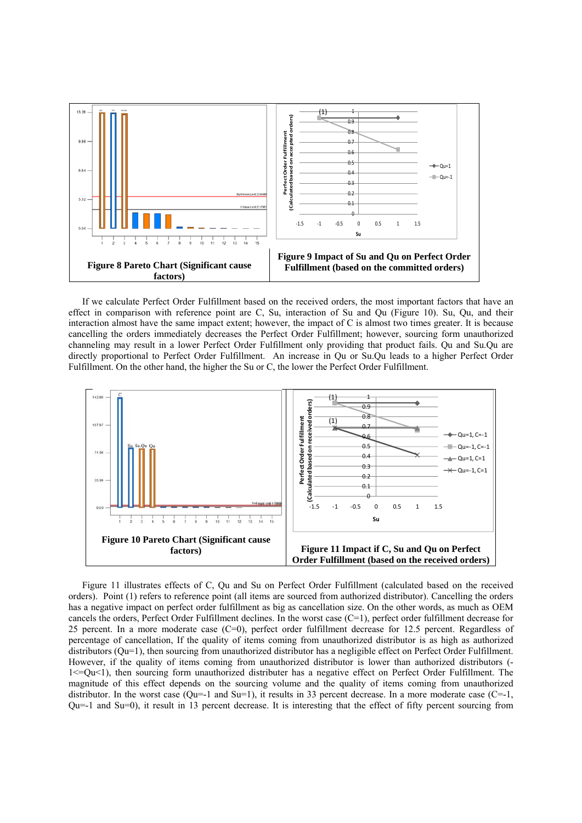

If we calculate Perfect Order Fulfillment based on the received orders, the most important factors that have an effect in comparison with reference point are C, Su, interaction of Su and Qu (Figure 10). Su, Qu, and their interaction almost have the same impact extent; however, the impact of C is almost two times greater. It is because cancelling the orders immediately decreases the Perfect Order Fulfillment; however, sourcing form unauthorized channeling may result in a lower Perfect Order Fulfillment only providing that product fails. Qu and Su.Qu are directly proportional to Perfect Order Fulfillment. An increase in Qu or Su.Qu leads to a higher Perfect Order Fulfillment. On the other hand, the higher the Su or C, the lower the Perfect Order Fulfillment.



Figure 11 illustrates effects of C, Qu and Su on Perfect Order Fulfillment (calculated based on the received orders). Point (1) refers to reference point (all items are sourced from authorized distributor). Cancelling the orders has a negative impact on perfect order fulfillment as big as cancellation size. On the other words, as much as OEM cancels the orders, Perfect Order Fulfillment declines. In the worst case (C=1), perfect order fulfillment decrease for 25 percent. In a more moderate case (C=0), perfect order fulfillment decrease for 12.5 percent. Regardless of percentage of cancellation, If the quality of items coming from unauthorized distributor is as high as authorized distributors (Qu=1), then sourcing from unauthorized distributor has a negligible effect on Perfect Order Fulfillment. However, if the quality of items coming from unauthorized distributor is lower than authorized distributors (-  $1 \leq Qu \leq 1$ , then sourcing form unauthorized distributer has a negative effect on Perfect Order Fulfillment. The magnitude of this effect depends on the sourcing volume and the quality of items coming from unauthorized distributor. In the worst case ( $Qu=1$  and  $Su=1$ ), it results in 33 percent decrease. In a more moderate case ( $C=-1$ ,  $Qu=-1$  and  $Su=0$ ), it result in 13 percent decrease. It is interesting that the effect of fifty percent sourcing from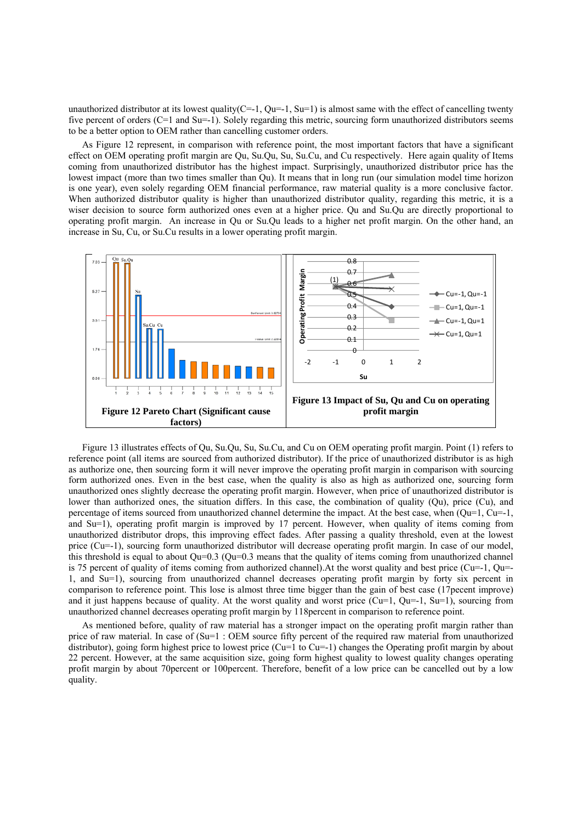unauthorized distributor at its lowest quality( $C=-1$ ,  $Qu=-1$ ,  $Su=1$ ) is almost same with the effect of cancelling twenty five percent of orders (C=1 and Su=-1). Solely regarding this metric, sourcing form unauthorized distributors seems to be a better option to OEM rather than cancelling customer orders.

As Figure 12 represent, in comparison with reference point, the most important factors that have a significant effect on OEM operating profit margin are Qu, Su.Qu, Su, Su.Cu, and Cu respectively. Here again quality of Items coming from unauthorized distributor has the highest impact. Surprisingly, unauthorized distributor price has the lowest impact (more than two times smaller than Qu). It means that in long run (our simulation model time horizon is one year), even solely regarding OEM financial performance, raw material quality is a more conclusive factor. When authorized distributor quality is higher than unauthorized distributor quality, regarding this metric, it is a wiser decision to source form authorized ones even at a higher price. Qu and Su.Qu are directly proportional to operating profit margin. An increase in Qu or Su.Qu leads to a higher net profit margin. On the other hand, an increase in Su, Cu, or Su.Cu results in a lower operating profit margin.



Figure 13 illustrates effects of Qu, Su, Ou, Su, Su, Cu, and Cu on OEM operating profit margin. Point (1) refers to reference point (all items are sourced from authorized distributor). If the price of unauthorized distributor is as high as authorize one, then sourcing form it will never improve the operating profit margin in comparison with sourcing form authorized ones. Even in the best case, when the quality is also as high as authorized one, sourcing form unauthorized ones slightly decrease the operating profit margin. However, when price of unauthorized distributor is lower than authorized ones, the situation differs. In this case, the combination of quality (Qu), price (Cu), and percentage of items sourced from unauthorized channel determine the impact. At the best case, when  $(Qu=1, Cu=1, Q)$ and Su=1), operating profit margin is improved by 17 percent. However, when quality of items coming from unauthorized distributor drops, this improving effect fades. After passing a quality threshold, even at the lowest price (Cu=-1), sourcing form unauthorized distributor will decrease operating profit margin. In case of our model, this threshold is equal to about  $Qu=0.3$  ( $Qu=0.3$  means that the quality of items coming from unauthorized channel is 75 percent of quality of items coming from authorized channel).At the worst quality and best price (Cu=-1, Qu=- 1, and Su=1), sourcing from unauthorized channel decreases operating profit margin by forty six percent in comparison to reference point. This lose is almost three time bigger than the gain of best case (17pecent improve) and it just happens because of quality. At the worst quality and worst price (Cu=1, Qu=-1, Su=1), sourcing from unauthorized channel decreases operating profit margin by 118percent in comparison to reference point.

As mentioned before, quality of raw material has a stronger impact on the operating profit margin rather than price of raw material. In case of (Su=1 : OEM source fifty percent of the required raw material from unauthorized distributor), going form highest price to lowest price (Cu=1 to Cu=-1) changes the Operating profit margin by about 22 percent. However, at the same acquisition size, going form highest quality to lowest quality changes operating profit margin by about 70percent or 100percent. Therefore, benefit of a low price can be cancelled out by a low quality.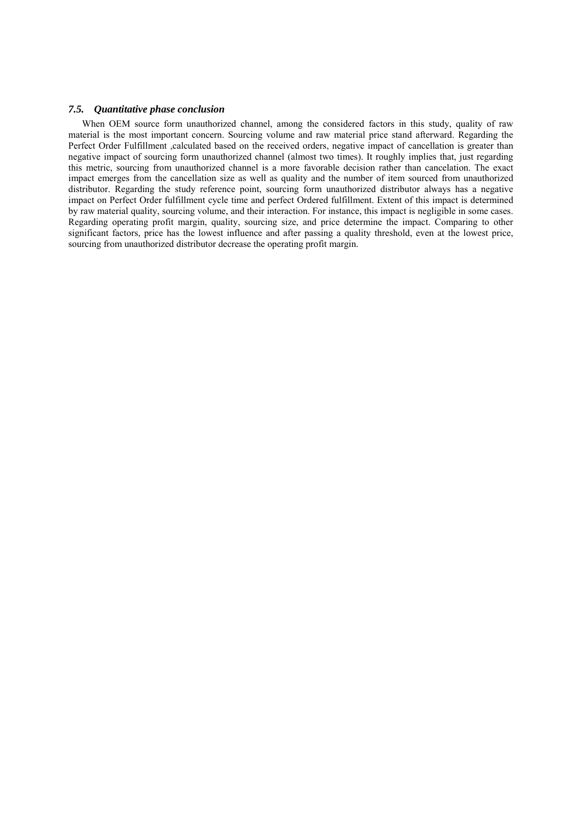#### *7.5. Quantitative phase conclusion*

When OEM source form unauthorized channel, among the considered factors in this study, quality of raw material is the most important concern. Sourcing volume and raw material price stand afterward. Regarding the Perfect Order Fulfillment ,calculated based on the received orders, negative impact of cancellation is greater than negative impact of sourcing form unauthorized channel (almost two times). It roughly implies that, just regarding this metric, sourcing from unauthorized channel is a more favorable decision rather than cancelation. The exact impact emerges from the cancellation size as well as quality and the number of item sourced from unauthorized distributor. Regarding the study reference point, sourcing form unauthorized distributor always has a negative impact on Perfect Order fulfillment cycle time and perfect Ordered fulfillment. Extent of this impact is determined by raw material quality, sourcing volume, and their interaction. For instance, this impact is negligible in some cases. Regarding operating profit margin, quality, sourcing size, and price determine the impact. Comparing to other significant factors, price has the lowest influence and after passing a quality threshold, even at the lowest price, sourcing from unauthorized distributor decrease the operating profit margin.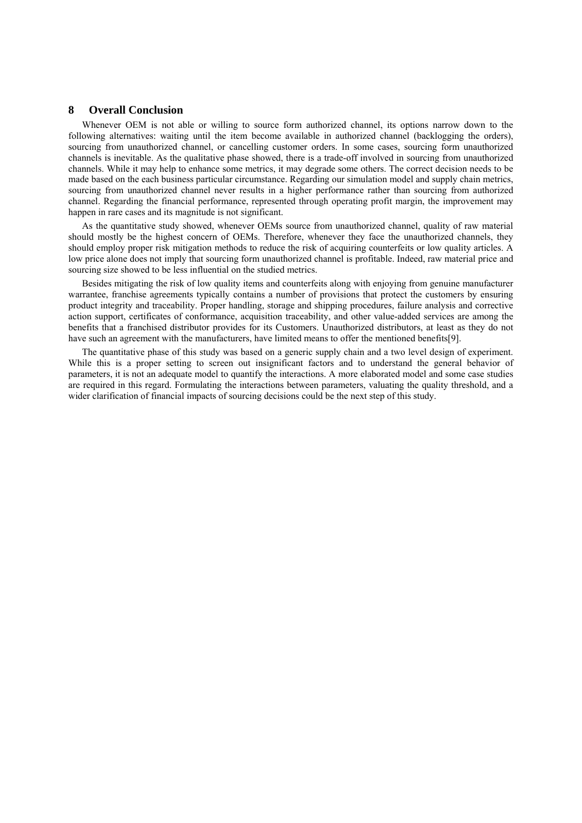# **8 Overall Conclusion**

Whenever OEM is not able or willing to source form authorized channel, its options narrow down to the following alternatives: waiting until the item become available in authorized channel (backlogging the orders), sourcing from unauthorized channel, or cancelling customer orders. In some cases, sourcing form unauthorized channels is inevitable. As the qualitative phase showed, there is a trade-off involved in sourcing from unauthorized channels. While it may help to enhance some metrics, it may degrade some others. The correct decision needs to be made based on the each business particular circumstance. Regarding our simulation model and supply chain metrics, sourcing from unauthorized channel never results in a higher performance rather than sourcing from authorized channel. Regarding the financial performance, represented through operating profit margin, the improvement may happen in rare cases and its magnitude is not significant.

As the quantitative study showed, whenever OEMs source from unauthorized channel, quality of raw material should mostly be the highest concern of OEMs. Therefore, whenever they face the unauthorized channels, they should employ proper risk mitigation methods to reduce the risk of acquiring counterfeits or low quality articles. A low price alone does not imply that sourcing form unauthorized channel is profitable. Indeed, raw material price and sourcing size showed to be less influential on the studied metrics.

Besides mitigating the risk of low quality items and counterfeits along with enjoying from genuine manufacturer warrantee, franchise agreements typically contains a number of provisions that protect the customers by ensuring product integrity and traceability. Proper handling, storage and shipping procedures, failure analysis and corrective action support, certificates of conformance, acquisition traceability, and other value-added services are among the benefits that a franchised distributor provides for its Customers. Unauthorized distributors, at least as they do not have such an agreement with the manufacturers, have limited means to offer the mentioned benefits [9].

The quantitative phase of this study was based on a generic supply chain and a two level design of experiment. While this is a proper setting to screen out insignificant factors and to understand the general behavior of parameters, it is not an adequate model to quantify the interactions. A more elaborated model and some case studies are required in this regard. Formulating the interactions between parameters, valuating the quality threshold, and a wider clarification of financial impacts of sourcing decisions could be the next step of this study.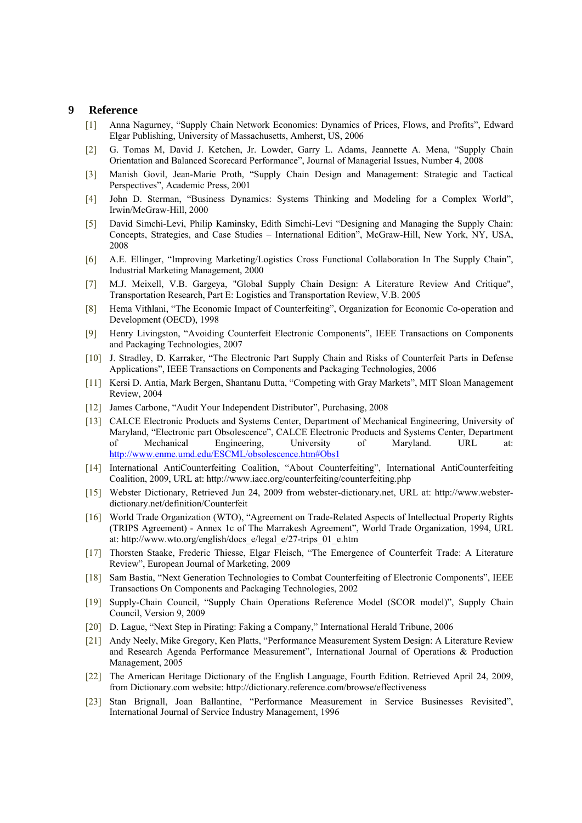# **9 Reference**

- [1] Anna Nagurney, "Supply Chain Network Economics: Dynamics of Prices, Flows, and Profits", Edward Elgar Publishing, University of Massachusetts, Amherst, US, 2006
- [2] G. Tomas M, David J. Ketchen, Jr. Lowder, Garry L. Adams, Jeannette A. Mena, "Supply Chain Orientation and Balanced Scorecard Performance", Journal of Managerial Issues, Number 4, 2008
- [3] Manish Govil, Jean-Marie Proth, "Supply Chain Design and Management: Strategic and Tactical Perspectives", Academic Press, 2001
- [4] John D. Sterman, "Business Dynamics: Systems Thinking and Modeling for a Complex World", Irwin/McGraw-Hill, 2000
- [5] David Simchi-Levi, Philip Kaminsky, Edith Simchi-Levi "Designing and Managing the Supply Chain: Concepts, Strategies, and Case Studies – International Edition", McGraw-Hill, New York, NY, USA, 2008
- [6] A.E. Ellinger, "Improving Marketing/Logistics Cross Functional Collaboration In The Supply Chain", Industrial Marketing Management, 2000
- [7] M.J. Meixell, V.B. Gargeya, "Global Supply Chain Design: A Literature Review And Critique", Transportation Research, Part E: Logistics and Transportation Review, V.B. 2005
- [8] Hema Vithlani, "The Economic Impact of Counterfeiting", Organization for Economic Co-operation and Development (OECD), 1998
- [9] Henry Livingston, "Avoiding Counterfeit Electronic Components", IEEE Transactions on Components and Packaging Technologies, 2007
- [10] J. Stradley, D. Karraker, "The Electronic Part Supply Chain and Risks of Counterfeit Parts in Defense Applications", IEEE Transactions on Components and Packaging Technologies, 2006
- [11] Kersi D. Antia, Mark Bergen, Shantanu Dutta, "Competing with Gray Markets", MIT Sloan Management Review, 2004
- [12] James Carbone, "Audit Your Independent Distributor", Purchasing, 2008
- [13] CALCE Electronic Products and Systems Center, Department of Mechanical Engineering, University of Maryland, "Electronic part Obsolescence", CALCE Electronic Products and Systems Center, Department of Mechanical Engineering, University of Maryland. URL at: http://www.enme.umd.edu/ESCML/obsolescence.htm#Obs1
- [14] International AntiCounterfeiting Coalition, "About Counterfeiting", International AntiCounterfeiting Coalition, 2009, URL at: http://www.iacc.org/counterfeiting/counterfeiting.php
- [15] Webster Dictionary, Retrieved Jun 24, 2009 from webster-dictionary.net, URL at: http://www.websterdictionary.net/definition/Counterfeit
- [16] World Trade Organization (WTO), "Agreement on Trade-Related Aspects of Intellectual Property Rights (TRIPS Agreement) - Annex 1c of The Marrakesh Agreement", World Trade Organization, 1994, URL at: http://www.wto.org/english/docs\_e/legal\_e/27-trips\_01\_e.htm
- [17] Thorsten Staake, Frederic Thiesse, Elgar Fleisch, "The Emergence of Counterfeit Trade: A Literature Review", European Journal of Marketing, 2009
- [18] Sam Bastia, "Next Generation Technologies to Combat Counterfeiting of Electronic Components", IEEE Transactions On Components and Packaging Technologies, 2002
- [19] Supply-Chain Council, "Supply Chain Operations Reference Model (SCOR model)", Supply Chain Council, Version 9, 2009
- [20] D. Lague, "Next Step in Pirating: Faking a Company," International Herald Tribune, 2006
- [21] Andy Neely, Mike Gregory, Ken Platts, "Performance Measurement System Design: A Literature Review and Research Agenda Performance Measurement", International Journal of Operations & Production Management, 2005
- [22] The American Heritage Dictionary of the English Language, Fourth Edition. Retrieved April 24, 2009, from Dictionary.com website: http://dictionary.reference.com/browse/effectiveness
- [23] Stan Brignall, Joan Ballantine, "Performance Measurement in Service Businesses Revisited", International Journal of Service Industry Management, 1996